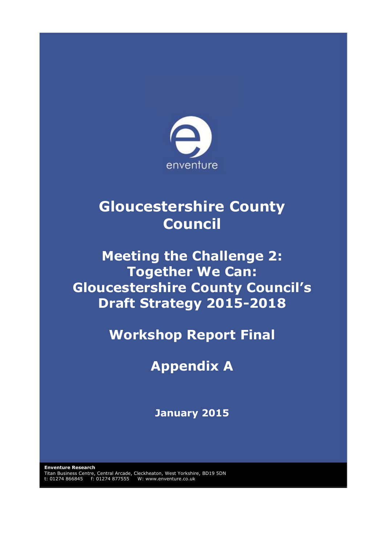

# **Gloucestershire County Council**

# **Meeting the Challenge 2: Together We Can: Gloucestershire County Council's Draft Strategy 2015-2018**

**Workshop Report Final**

# **Appendix A**

**January 2015**

**Enventure Research** Titan Business Centre, Central Arcade, Cleckheaton, West Yorkshire, BD19 5DN t: 01274 866845 f: 01274 877555 W: www.enventure.co.uk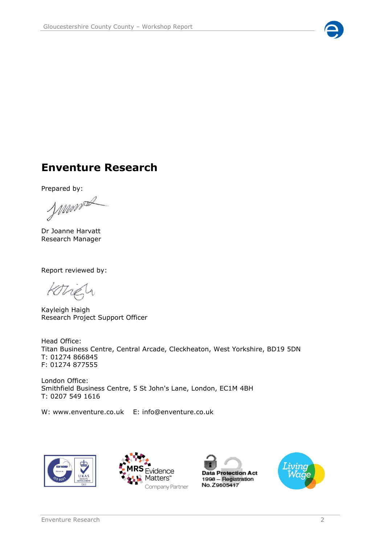

# **Enventure Research**

Prepared by:

Monda

Dr Joanne Harvatt Research Manager

Report reviewed by:

Kotrely

Kayleigh Haigh Research Project Support Officer

Head Office: Titan Business Centre, Central Arcade, Cleckheaton, West Yorkshire, BD19 5DN T: 01274 866845 F: 01274 877555

London Office: Smithfield Business Centre, 5 St John's Lane, London, EC1M 4BH T: 0207 549 1616

W: www.enventure.co.uk E: info@enventure.co.uk







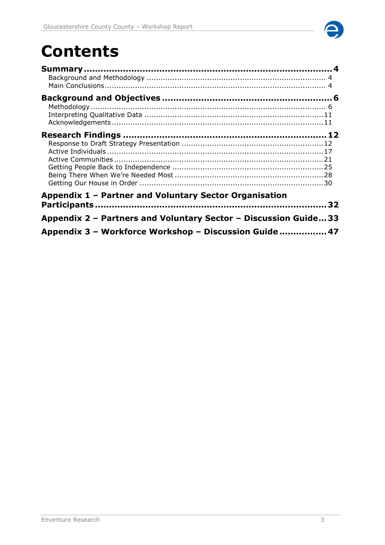

# **Contents**

| Appendix 1 - Partner and Voluntary Sector Organisation          |  |
|-----------------------------------------------------------------|--|
|                                                                 |  |
| Appendix 2 - Partners and Voluntary Sector - Discussion Guide33 |  |
| Appendix 3 - Workforce Workshop - Discussion Guide 47           |  |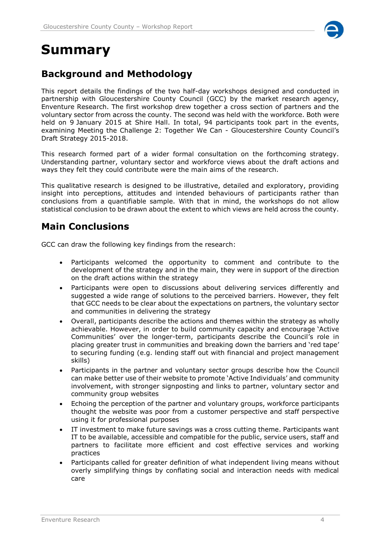

# <span id="page-3-0"></span>**Summary**

# <span id="page-3-1"></span>**Background and Methodology**

This report details the findings of the two half-day workshops designed and conducted in partnership with Gloucestershire County Council (GCC) by the market research agency, Enventure Research. The first workshop drew together a cross section of partners and the voluntary sector from across the county. The second was held with the workforce. Both were held on 9 January 2015 at Shire Hall. In total, 94 participants took part in the events, examining Meeting the Challenge 2: Together We Can - Gloucestershire County Council's Draft Strategy 2015-2018.

This research formed part of a wider formal consultation on the forthcoming strategy. Understanding partner, voluntary sector and workforce views about the draft actions and ways they felt they could contribute were the main aims of the research.

This qualitative research is designed to be illustrative, detailed and exploratory, providing insight into perceptions, attitudes and intended behaviours of participants rather than conclusions from a quantifiable sample. With that in mind, the workshops do not allow statistical conclusion to be drawn about the extent to which views are held across the county.

# <span id="page-3-2"></span>**Main Conclusions**

GCC can draw the following key findings from the research:

- Participants welcomed the opportunity to comment and contribute to the development of the strategy and in the main, they were in support of the direction on the draft actions within the strategy
- Participants were open to discussions about delivering services differently and suggested a wide range of solutions to the perceived barriers. However, they felt that GCC needs to be clear about the expectations on partners, the voluntary sector and communities in delivering the strategy
- Overall, participants describe the actions and themes within the strategy as wholly achievable. However, in order to build community capacity and encourage 'Active Communities' over the longer-term, participants describe the Council's role in placing greater trust in communities and breaking down the barriers and 'red tape' to securing funding (e.g. lending staff out with financial and project management skills)
- Participants in the partner and voluntary sector groups describe how the Council can make better use of their website to promote 'Active Individuals' and community involvement, with stronger signposting and links to partner, voluntary sector and community group websites
- Echoing the perception of the partner and voluntary groups, workforce participants thought the website was poor from a customer perspective and staff perspective using it for professional purposes
- IT investment to make future savings was a cross cutting theme. Participants want IT to be available, accessible and compatible for the public, service users, staff and partners to facilitate more efficient and cost effective services and working practices
- Participants called for greater definition of what independent living means without overly simplifying things by conflating social and interaction needs with medical care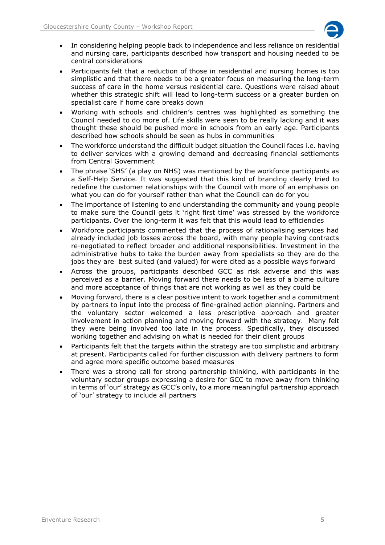

- In considering helping people back to independence and less reliance on residential and nursing care, participants described how transport and housing needed to be central considerations
- Participants felt that a reduction of those in residential and nursing homes is too simplistic and that there needs to be a greater focus on measuring the long-term success of care in the home versus residential care. Questions were raised about whether this strategic shift will lead to long-term success or a greater burden on specialist care if home care breaks down
- Working with schools and children's centres was highlighted as something the Council needed to do more of. Life skills were seen to be really lacking and it was thought these should be pushed more in schools from an early age. Participants described how schools should be seen as hubs in communities
- The workforce understand the difficult budget situation the Council faces i.e. having to deliver services with a growing demand and decreasing financial settlements from Central Government
- The phrase 'SHS' (a play on NHS) was mentioned by the workforce participants as a Self-Help Service. It was suggested that this kind of branding clearly tried to redefine the customer relationships with the Council with more of an emphasis on what you can do for yourself rather than what the Council can do for you
- The importance of listening to and understanding the community and young people to make sure the Council gets it 'right first time' was stressed by the workforce participants. Over the long-term it was felt that this would lead to efficiencies
- Workforce participants commented that the process of rationalising services had already included job losses across the board, with many people having contracts re-negotiated to reflect broader and additional responsibilities. Investment in the administrative hubs to take the burden away from specialists so they are do the jobs they are best suited (and valued) for were cited as a possible ways forward
- Across the groups, participants described GCC as risk adverse and this was perceived as a barrier. Moving forward there needs to be less of a blame culture and more acceptance of things that are not working as well as they could be
- Moving forward, there is a clear positive intent to work together and a commitment by partners to input into the process of fine-grained action planning. Partners and the voluntary sector welcomed a less prescriptive approach and greater involvement in action planning and moving forward with the strategy. Many felt they were being involved too late in the process. Specifically, they discussed working together and advising on what is needed for their client groups
- Participants felt that the targets within the strategy are too simplistic and arbitrary at present. Participants called for further discussion with delivery partners to form and agree more specific outcome based measures
- There was a strong call for strong partnership thinking, with participants in the voluntary sector groups expressing a desire for GCC to move away from thinking in terms of 'our' strategy as GCC's only, to a more meaningful partnership approach of 'our' strategy to include all partners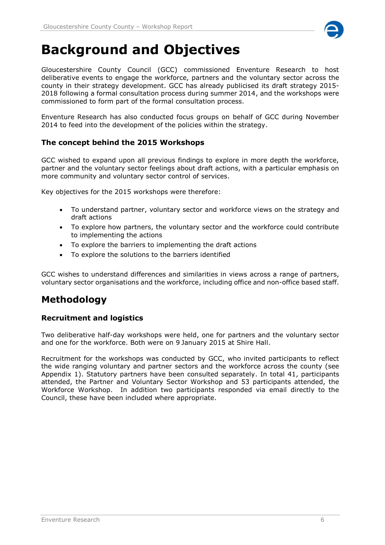

# <span id="page-5-0"></span>**Background and Objectives**

Gloucestershire County Council (GCC) commissioned Enventure Research to host deliberative events to engage the workforce, partners and the voluntary sector across the county in their strategy development. GCC has already publicised its draft strategy 2015- 2018 following a formal consultation process during summer 2014, and the workshops were commissioned to form part of the formal consultation process.

Enventure Research has also conducted focus groups on behalf of GCC during November 2014 to feed into the development of the policies within the strategy.

# **The concept behind the 2015 Workshops**

GCC wished to expand upon all previous findings to explore in more depth the workforce, partner and the voluntary sector feelings about draft actions, with a particular emphasis on more community and voluntary sector control of services.

Key objectives for the 2015 workshops were therefore:

- To understand partner, voluntary sector and workforce views on the strategy and draft actions
- To explore how partners, the voluntary sector and the workforce could contribute to implementing the actions
- To explore the barriers to implementing the draft actions
- To explore the solutions to the barriers identified

GCC wishes to understand differences and similarities in views across a range of partners, voluntary sector organisations and the workforce, including office and non-office based staff.

# <span id="page-5-1"></span>**Methodology**

# **Recruitment and logistics**

Two deliberative half-day workshops were held, one for partners and the voluntary sector and one for the workforce. Both were on 9 January 2015 at Shire Hall.

Recruitment for the workshops was conducted by GCC, who invited participants to reflect the wide ranging voluntary and partner sectors and the workforce across the county (see Appendix 1). Statutory partners have been consulted separately. In total 41, participants attended, the Partner and Voluntary Sector Workshop and 53 participants attended, the Workforce Workshop. In addition two participants responded via email directly to the Council, these have been included where appropriate.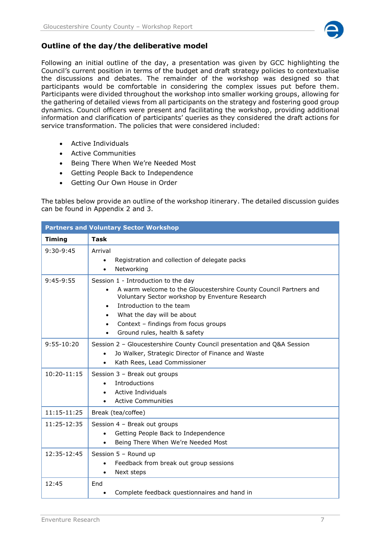

# **Outline of the day/the deliberative model**

Following an initial outline of the day, a presentation was given by GCC highlighting the Council's current position in terms of the budget and draft strategy policies to contextualise the discussions and debates. The remainder of the workshop was designed so that participants would be comfortable in considering the complex issues put before them. Participants were divided throughout the workshop into smaller working groups, allowing for the gathering of detailed views from all participants on the strategy and fostering good group dynamics. Council officers were present and facilitating the workshop, providing additional information and clarification of participants' queries as they considered the draft actions for service transformation. The policies that were considered included:

- Active Individuals
- Active Communities
- Being There When We're Needed Most
- Getting People Back to Independence
- Getting Our Own House in Order

The tables below provide an outline of the workshop itinerary. The detailed discussion guides can be found in Appendix 2 and 3.

| <b>Partners and Voluntary Sector Workshop</b> |                                                                                                                                                                                                                                                                                                                          |  |
|-----------------------------------------------|--------------------------------------------------------------------------------------------------------------------------------------------------------------------------------------------------------------------------------------------------------------------------------------------------------------------------|--|
| <b>Timing</b>                                 | <b>Task</b>                                                                                                                                                                                                                                                                                                              |  |
| $9:30-9:45$                                   | Arrival<br>Registration and collection of delegate packs<br>$\bullet$<br>Networking<br>$\bullet$                                                                                                                                                                                                                         |  |
| $9:45-9:55$                                   | Session 1 - Introduction to the day<br>A warm welcome to the Gloucestershire County Council Partners and<br>$\bullet$<br>Voluntary Sector workshop by Enventure Research<br>Introduction to the team<br>$\bullet$<br>What the day will be about<br>Context - findings from focus groups<br>Ground rules, health & safety |  |
| $9:55 - 10:20$                                | Session 2 - Gloucestershire County Council presentation and Q&A Session<br>Jo Walker, Strategic Director of Finance and Waste<br>$\bullet$<br>Kath Rees, Lead Commissioner<br>$\bullet$                                                                                                                                  |  |
| 10:20-11:15                                   | Session 3 - Break out groups<br>Introductions<br>$\bullet$<br><b>Active Individuals</b><br>$\bullet$<br><b>Active Communities</b><br>$\bullet$                                                                                                                                                                           |  |
| 11:15-11:25                                   | Break (tea/coffee)                                                                                                                                                                                                                                                                                                       |  |
| 11:25-12:35                                   | Session 4 - Break out groups<br>Getting People Back to Independence<br>$\bullet$<br>Being There When We're Needed Most<br>$\bullet$                                                                                                                                                                                      |  |
| 12:35-12:45                                   | Session 5 - Round up<br>Feedback from break out group sessions<br>Next steps<br>$\bullet$                                                                                                                                                                                                                                |  |
| 12:45                                         | End<br>Complete feedback questionnaires and hand in<br>$\bullet$                                                                                                                                                                                                                                                         |  |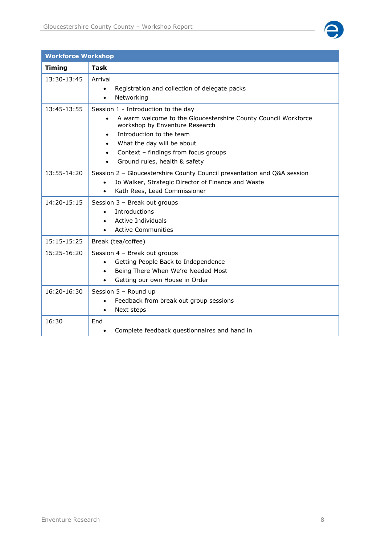

| <b>Workforce Workshop</b> |                                                                                                                                                                                                                                                                                                                   |  |
|---------------------------|-------------------------------------------------------------------------------------------------------------------------------------------------------------------------------------------------------------------------------------------------------------------------------------------------------------------|--|
| <b>Timing</b>             | <b>Task</b>                                                                                                                                                                                                                                                                                                       |  |
| 13:30-13:45               | Arrival<br>Registration and collection of delegate packs<br>$\bullet$<br>Networking<br>$\bullet$                                                                                                                                                                                                                  |  |
| 13:45-13:55               | Session 1 - Introduction to the day<br>A warm welcome to the Gloucestershire County Council Workforce<br>$\bullet$<br>workshop by Enventure Research<br>Introduction to the team<br>What the day will be about<br>$\bullet$<br>Context - findings from focus groups<br>$\bullet$<br>Ground rules, health & safety |  |
| 13:55-14:20               | Session 2 - Gloucestershire County Council presentation and Q&A session<br>Jo Walker, Strategic Director of Finance and Waste<br>$\bullet$<br>Kath Rees, Lead Commissioner<br>$\bullet$                                                                                                                           |  |
| 14:20-15:15               | Session 3 - Break out groups<br>Introductions<br><b>Active Individuals</b><br>$\bullet$<br><b>Active Communities</b>                                                                                                                                                                                              |  |
| 15:15-15:25               | Break (tea/coffee)                                                                                                                                                                                                                                                                                                |  |
| 15:25-16:20               | Session 4 - Break out groups<br>Getting People Back to Independence<br>$\bullet$<br>Being There When We're Needed Most<br>$\bullet$<br>Getting our own House in Order                                                                                                                                             |  |
| 16:20-16:30               | Session 5 - Round up<br>Feedback from break out group sessions<br>Next steps<br>$\bullet$                                                                                                                                                                                                                         |  |
| 16:30                     | End<br>Complete feedback questionnaires and hand in                                                                                                                                                                                                                                                               |  |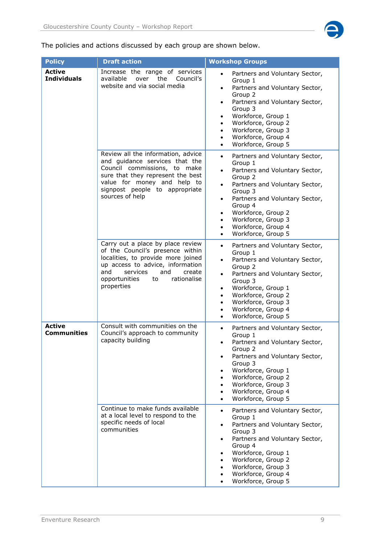

The policies and actions discussed by each group are shown below.

| <b>Policy</b>                       | <b>Draft action</b>                                                                                                                                                                                                                     | <b>Workshop Groups</b>                                                                                                                                                                                                                                                                                                                                                           |
|-------------------------------------|-----------------------------------------------------------------------------------------------------------------------------------------------------------------------------------------------------------------------------------------|----------------------------------------------------------------------------------------------------------------------------------------------------------------------------------------------------------------------------------------------------------------------------------------------------------------------------------------------------------------------------------|
| <b>Active</b><br><b>Individuals</b> | Increase the range of services<br>available<br>over<br>the<br>Council's<br>website and via social media                                                                                                                                 | Partners and Voluntary Sector,<br>$\bullet$<br>Group 1<br>Partners and Voluntary Sector,<br>$\bullet$<br>Group 2<br>Partners and Voluntary Sector,<br>$\bullet$<br>Group 3<br>Workforce, Group 1<br>$\bullet$<br>Workforce, Group 2<br>$\bullet$<br>Workforce, Group 3<br>$\bullet$<br>Workforce, Group 4<br>$\bullet$<br>Workforce, Group 5<br>$\bullet$                        |
|                                     | Review all the information, advice<br>and guidance services that the<br>Council commissions, to make<br>sure that they represent the best<br>value for money and help to<br>signpost people to appropriate<br>sources of help           | Partners and Voluntary Sector,<br>$\bullet$<br>Group 1<br>Partners and Voluntary Sector,<br>$\bullet$<br>Group 2<br>Partners and Voluntary Sector,<br>$\bullet$<br>Group 3<br>Partners and Voluntary Sector,<br>$\bullet$<br>Group 4<br>Workforce, Group 2<br>$\bullet$<br>Workforce, Group 3<br>$\bullet$<br>Workforce, Group 4<br>$\bullet$<br>Workforce, Group 5<br>$\bullet$ |
|                                     | Carry out a place by place review<br>of the Council's presence within<br>localities, to provide more joined<br>up access to advice, information<br>and<br>services<br>and<br>create<br>opportunities<br>rationalise<br>to<br>properties | Partners and Voluntary Sector,<br>$\bullet$<br>Group 1<br>Partners and Voluntary Sector,<br>$\bullet$<br>Group 2<br>Partners and Voluntary Sector,<br>$\bullet$<br>Group 3<br>Workforce, Group 1<br>$\bullet$<br>Workforce, Group 2<br>$\bullet$<br>Workforce, Group 3<br>$\bullet$<br>Workforce, Group 4<br>$\bullet$<br>Workforce, Group 5<br>$\bullet$                        |
| <b>Active</b><br><b>Communities</b> | Consult with communities on the<br>Council's approach to community<br>capacity building                                                                                                                                                 | Partners and Voluntary Sector,<br>$\bullet$<br>Group 1<br>Partners and Voluntary Sector,<br>$\bullet$<br>Group 2<br>Partners and Voluntary Sector,<br>Group 3<br>Workforce, Group 1<br>Workforce, Group 2<br>Workforce, Group 3<br>$\bullet$<br>Workforce, Group 4<br>$\bullet$<br>Workforce, Group 5                                                                            |
|                                     | Continue to make funds available<br>at a local level to respond to the<br>specific needs of local<br>communities                                                                                                                        | Partners and Voluntary Sector,<br>$\bullet$<br>Group 1<br>Partners and Voluntary Sector,<br>Group 3<br>Partners and Voluntary Sector,<br>$\bullet$<br>Group 4<br>Workforce, Group 1<br>٠<br>Workforce, Group 2<br>Workforce, Group 3<br>Workforce, Group 4<br>Workforce, Group 5                                                                                                 |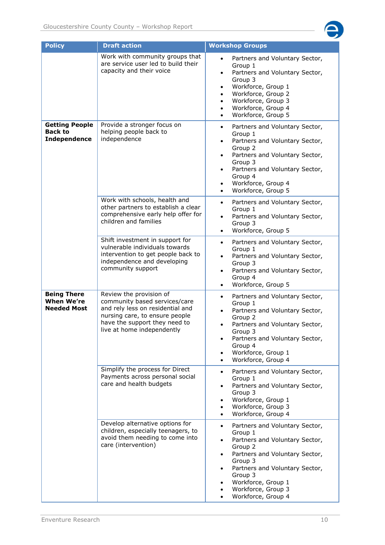

| <b>Policy</b>                                                  | <b>Draft action</b>                                                                                                                                                                           | <b>Workshop Groups</b>                                                                                                                                                                                                                                                                                     |
|----------------------------------------------------------------|-----------------------------------------------------------------------------------------------------------------------------------------------------------------------------------------------|------------------------------------------------------------------------------------------------------------------------------------------------------------------------------------------------------------------------------------------------------------------------------------------------------------|
|                                                                | Work with community groups that<br>are service user led to build their<br>capacity and their voice                                                                                            | Partners and Voluntary Sector,<br>$\bullet$<br>Group 1<br>Partners and Voluntary Sector,<br>$\bullet$<br>Group 3<br>Workforce, Group 1<br>$\bullet$<br>Workforce, Group 2<br>$\bullet$<br>Workforce, Group 3<br>$\bullet$<br>Workforce, Group 4<br>٠<br>Workforce, Group 5                                 |
| <b>Getting People</b><br><b>Back to</b><br><b>Independence</b> | Provide a stronger focus on<br>helping people back to<br>independence                                                                                                                         | Partners and Voluntary Sector,<br>$\bullet$<br>Group 1<br>Partners and Voluntary Sector,<br>$\bullet$<br>Group 2<br>Partners and Voluntary Sector,<br>$\bullet$<br>Group 3<br>Partners and Voluntary Sector,<br>$\bullet$<br>Group 4<br>Workforce, Group 4<br>$\bullet$<br>Workforce, Group 5<br>$\bullet$ |
|                                                                | Work with schools, health and<br>other partners to establish a clear<br>comprehensive early help offer for<br>children and families                                                           | Partners and Voluntary Sector,<br>$\bullet$<br>Group 1<br>Partners and Voluntary Sector,<br>$\bullet$<br>Group 3<br>Workforce, Group 5<br>$\bullet$                                                                                                                                                        |
|                                                                | Shift investment in support for<br>vulnerable individuals towards<br>intervention to get people back to<br>independence and developing<br>community support                                   | Partners and Voluntary Sector,<br>$\bullet$<br>Group 1<br>Partners and Voluntary Sector,<br>$\bullet$<br>Group 3<br>Partners and Voluntary Sector,<br>$\bullet$<br>Group 4<br>Workforce, Group 5<br>$\bullet$                                                                                              |
| <b>Being There</b><br><b>When We're</b><br><b>Needed Most</b>  | Review the provision of<br>community based services/care<br>and rely less on residential and<br>nursing care, to ensure people<br>have the support they need to<br>live at home independently | Partners and Voluntary Sector,<br>$\bullet$<br>Group 1<br>Partners and Voluntary Sector,<br>$\bullet$<br>Group 2<br>Partners and Voluntary Sector,<br>Group 3<br>Partners and Voluntary Sector,<br>$\bullet$<br>Group 4<br>Workforce, Group 1<br>٠<br>Workforce, Group 4                                   |
|                                                                | Simplify the process for Direct<br>Payments across personal social<br>care and health budgets                                                                                                 | Partners and Voluntary Sector,<br>$\bullet$<br>Group 1<br>Partners and Voluntary Sector,<br>٠<br>Group 3<br>Workforce, Group 1<br>$\bullet$<br>Workforce, Group 3<br>Workforce, Group 4                                                                                                                    |
|                                                                | Develop alternative options for<br>children, especially teenagers, to<br>avoid them needing to come into<br>care (intervention)                                                               | Partners and Voluntary Sector,<br>$\bullet$<br>Group 1<br>Partners and Voluntary Sector,<br>$\bullet$<br>Group 2<br>Partners and Voluntary Sector,<br>$\bullet$<br>Group 3<br>Partners and Voluntary Sector,<br>٠<br>Group 3<br>Workforce, Group 1<br>Workforce, Group 3<br>Workforce, Group 4             |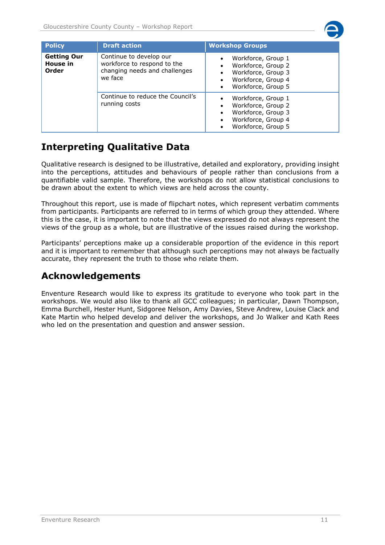

| <b>Policy</b>                           | <b>Draft action</b>                                                                                | <b>Workshop Groups</b>                                                                                                  |
|-----------------------------------------|----------------------------------------------------------------------------------------------------|-------------------------------------------------------------------------------------------------------------------------|
| <b>Getting Our</b><br>House in<br>Order | Continue to develop our<br>workforce to respond to the<br>changing needs and challenges<br>we face | Workforce, Group 1<br>Workforce, Group 2<br>Workforce, Group 3<br>Workforce, Group 4<br>Workforce, Group 5<br>$\bullet$ |
|                                         | Continue to reduce the Council's<br>running costs                                                  | Workforce, Group 1<br>Workforce, Group 2<br>Workforce, Group 3<br>Workforce, Group 4<br>$\bullet$<br>Workforce, Group 5 |

# <span id="page-10-0"></span>**Interpreting Qualitative Data**

Qualitative research is designed to be illustrative, detailed and exploratory, providing insight into the perceptions, attitudes and behaviours of people rather than conclusions from a quantifiable valid sample. Therefore, the workshops do not allow statistical conclusions to be drawn about the extent to which views are held across the county.

Throughout this report, use is made of flipchart notes, which represent verbatim comments from participants. Participants are referred to in terms of which group they attended. Where this is the case, it is important to note that the views expressed do not always represent the views of the group as a whole, but are illustrative of the issues raised during the workshop.

Participants' perceptions make up a considerable proportion of the evidence in this report and it is important to remember that although such perceptions may not always be factually accurate, they represent the truth to those who relate them.

# <span id="page-10-1"></span>**Acknowledgements**

Enventure Research would like to express its gratitude to everyone who took part in the workshops. We would also like to thank all GCC colleagues; in particular, Dawn Thompson, Emma Burchell, Hester Hunt, Sidgoree Nelson, Amy Davies, Steve Andrew, Louise Clack and Kate Martin who helped develop and deliver the workshops, and Jo Walker and Kath Rees who led on the presentation and question and answer session.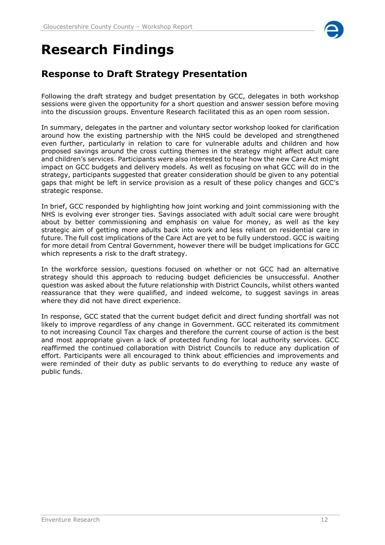

# <span id="page-11-0"></span>**Research Findings**

# <span id="page-11-1"></span>**Response to Draft Strategy Presentation**

Following the draft strategy and budget presentation by GCC, delegates in both workshop sessions were given the opportunity for a short question and answer session before moving into the discussion groups. Enventure Research facilitated this as an open room session.

In summary, delegates in the partner and voluntary sector workshop looked for clarification around how the existing partnership with the NHS could be developed and strengthened even further, particularly in relation to care for vulnerable adults and children and how proposed savings around the cross cutting themes in the strategy might affect adult care and children's services. Participants were also interested to hear how the new Care Act might impact on GCC budgets and delivery models. As well as focusing on what GCC will do in the strategy, participants suggested that greater consideration should be given to any potential gaps that might be left in service provision as a result of these policy changes and GCC's strategic response.

In brief, GCC responded by highlighting how joint working and joint commissioning with the NHS is evolving ever stronger ties. Savings associated with adult social care were brought about by better commissioning and emphasis on value for money, as well as the key strategic aim of getting more adults back into work and less reliant on residential care in future. The full cost implications of the Care Act are yet to be fully understood. GCC is waiting for more detail from Central Government, however there will be budget implications for GCC which represents a risk to the draft strategy.

In the workforce session, questions focused on whether or not GCC had an alternative strategy should this approach to reducing budget deficiencies be unsuccessful. Another question was asked about the future relationship with District Councils, whilst others wanted reassurance that they were qualified, and indeed welcome, to suggest savings in areas where they did not have direct experience.

In response, GCC stated that the current budget deficit and direct funding shortfall was not likely to improve regardless of any change in Government. GCC reiterated its commitment to not increasing Council Tax charges and therefore the current course of action is the best and most appropriate given a lack of protected funding for local authority services. GCC reaffirmed the continued collaboration with District Councils to reduce any duplication of effort. Participants were all encouraged to think about efficiencies and improvements and were reminded of their duty as public servants to do everything to reduce any waste of public funds.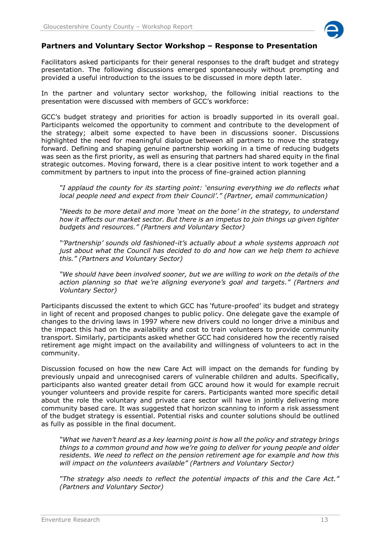

# **Partners and Voluntary Sector Workshop – Response to Presentation**

Facilitators asked participants for their general responses to the draft budget and strategy presentation. The following discussions emerged spontaneously without prompting and provided a useful introduction to the issues to be discussed in more depth later.

In the partner and voluntary sector workshop, the following initial reactions to the presentation were discussed with members of GCC's workforce:

GCC's budget strategy and priorities for action is broadly supported in its overall goal. Participants welcomed the opportunity to comment and contribute to the development of the strategy; albeit some expected to have been in discussions sooner. Discussions highlighted the need for meaningful dialogue between all partners to move the strategy forward. Defining and shaping genuine partnership working in a time of reducing budgets was seen as the first priority, as well as ensuring that partners had shared equity in the final strategic outcomes. Moving forward, there is a clear positive intent to work together and a commitment by partners to input into the process of fine-grained action planning

*"I applaud the county for its starting point: 'ensuring everything we do reflects what local people need and expect from their Council'." (Partner, email communication)* 

*"Needs to be more detail and more 'meat on the bone' in the strategy, to understand how it affects our market sector. But there is an impetus to join things up given tighter budgets and resources." (Partners and Voluntary Sector)*

*"'Partnership' sounds old fashioned-it's actually about a whole systems approach not just about what the Council has decided to do and how can we help them to achieve this." (Partners and Voluntary Sector)*

*"We should have been involved sooner, but we are willing to work on the details of the action planning so that we're aligning everyone's goal and targets." (Partners and Voluntary Sector)*

Participants discussed the extent to which GCC has 'future-proofed' its budget and strategy in light of recent and proposed changes to public policy. One delegate gave the example of changes to the driving laws in 1997 where new drivers could no longer drive a minibus and the impact this had on the availability and cost to train volunteers to provide community transport. Similarly, participants asked whether GCC had considered how the recently raised retirement age might impact on the availability and willingness of volunteers to act in the community.

Discussion focused on how the new Care Act will impact on the demands for funding by previously unpaid and unrecognised carers of vulnerable children and adults. Specifically, participants also wanted greater detail from GCC around how it would for example recruit younger volunteers and provide respite for carers. Participants wanted more specific detail about the role the voluntary and private care sector will have in jointly delivering more community based care. It was suggested that horizon scanning to inform a risk assessment of the budget strategy is essential. Potential risks and counter solutions should be outlined as fully as possible in the final document.

*"What we haven't heard as a key learning point is how all the policy and strategy brings things to a common ground and how we're going to deliver for young people and older residents. We need to reflect on the pension retirement age for example and how this will impact on the volunteers available" (Partners and Voluntary Sector)* 

*"The strategy also needs to reflect the potential impacts of this and the Care Act." (Partners and Voluntary Sector)*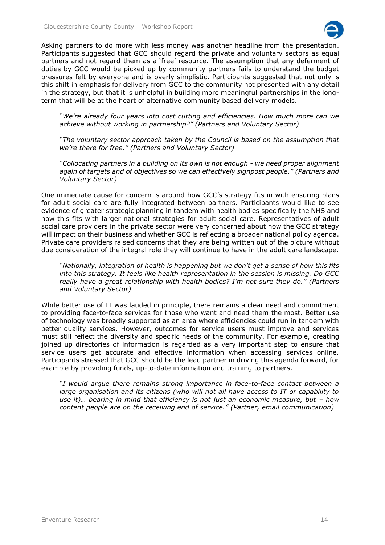

Asking partners to do more with less money was another headline from the presentation. Participants suggested that GCC should regard the private and voluntary sectors as equal partners and not regard them as a 'free' resource. The assumption that any deferment of duties by GCC would be picked up by community partners fails to understand the budget pressures felt by everyone and is overly simplistic. Participants suggested that not only is this shift in emphasis for delivery from GCC to the community not presented with any detail in the strategy, but that it is unhelpful in building more meaningful partnerships in the longterm that will be at the heart of alternative community based delivery models.

*"We're already four years into cost cutting and efficiencies. How much more can we achieve without working in partnership?" (Partners and Voluntary Sector)*

*"The voluntary sector approach taken by the Council is based on the assumption that we're there for free." (Partners and Voluntary Sector)*

*"Collocating partners in a building on its own is not enough - we need proper alignment again of targets and of objectives so we can effectively signpost people." (Partners and Voluntary Sector)*

One immediate cause for concern is around how GCC's strategy fits in with ensuring plans for adult social care are fully integrated between partners. Participants would like to see evidence of greater strategic planning in tandem with health bodies specifically the NHS and how this fits with larger national strategies for adult social care. Representatives of adult social care providers in the private sector were very concerned about how the GCC strategy will impact on their business and whether GCC is reflecting a broader national policy agenda. Private care providers raised concerns that they are being written out of the picture without due consideration of the integral role they will continue to have in the adult care landscape.

*"Nationally, integration of health is happening but we don't get a sense of how this fits into this strategy. It feels like health representation in the session is missing. Do GCC really have a great relationship with health bodies? I'm not sure they do." (Partners and Voluntary Sector)*

While better use of IT was lauded in principle, there remains a clear need and commitment to providing face-to-face services for those who want and need them the most. Better use of technology was broadly supported as an area where efficiencies could run in tandem with better quality services. However, outcomes for service users must improve and services must still reflect the diversity and specific needs of the community. For example, creating joined up directories of information is regarded as a very important step to ensure that service users get accurate and effective information when accessing services online. Participants stressed that GCC should be the lead partner in driving this agenda forward, for example by providing funds, up-to-date information and training to partners.

*"I would argue there remains strong importance in face-to-face contact between a large organisation and its citizens (who will not all have access to IT or capability to use it)… bearing in mind that efficiency is not just an economic measure, but – how content people are on the receiving end of service." (Partner, email communication)*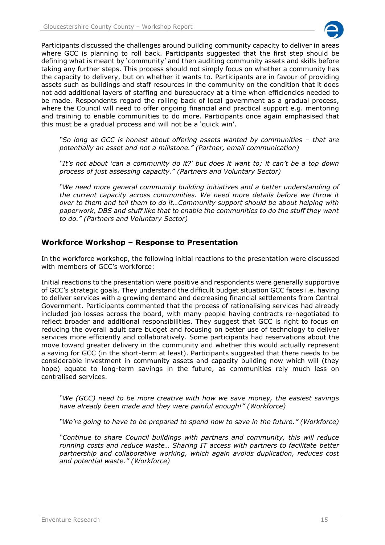

Participants discussed the challenges around building community capacity to deliver in areas where GCC is planning to roll back. Participants suggested that the first step should be defining what is meant by 'community' and then auditing community assets and skills before taking any further steps. This process should not simply focus on whether a community has the capacity to delivery, but on whether it wants to. Participants are in favour of providing assets such as buildings and staff resources in the community on the condition that it does not add additional layers of staffing and bureaucracy at a time when efficiencies needed to be made. Respondents regard the rolling back of local government as a gradual process, where the Council will need to offer ongoing financial and practical support e.g. mentoring and training to enable communities to do more. Participants once again emphasised that this must be a gradual process and will not be a 'quick win'.

"So long as GCC is honest about offering assets wanted by communities – that are *potentially an asset and not a millstone." (Partner, email communication)*

*"It's not about 'can a community do it?' but does it want to; it can't be a top down process of just assessing capacity." (Partners and Voluntary Sector)*

*"We need more general community building initiatives and a better understanding of the current capacity across communities. We need more details before we throw it over to them and tell them to do it…Community support should be about helping with paperwork, DBS and stuff like that to enable the communities to do the stuff they want to do." (Partners and Voluntary Sector)*

# **Workforce Workshop – Response to Presentation**

In the workforce workshop, the following initial reactions to the presentation were discussed with members of GCC's workforce:

Initial reactions to the presentation were positive and respondents were generally supportive of GCC's strategic goals. They understand the difficult budget situation GCC faces i.e. having to deliver services with a growing demand and decreasing financial settlements from Central Government. Participants commented that the process of rationalising services had already included job losses across the board, with many people having contracts re-negotiated to reflect broader and additional responsibilities. They suggest that GCC is right to focus on reducing the overall adult care budget and focusing on better use of technology to deliver services more efficiently and collaboratively. Some participants had reservations about the move toward greater delivery in the community and whether this would actually represent a saving for GCC (in the short-term at least). Participants suggested that there needs to be considerable investment in community assets and capacity building now which will (they hope) equate to long-term savings in the future, as communities rely much less on centralised services.

*"We (GCC) need to be more creative with how we save money, the easiest savings have already been made and they were painful enough!" (Workforce)*

*"We're going to have to be prepared to spend now to save in the future." (Workforce)*

*"Continue to share Council buildings with partners and community, this will reduce running costs and reduce waste… Sharing IT access with partners to facilitate better partnership and collaborative working, which again avoids duplication, reduces cost and potential waste." (Workforce)*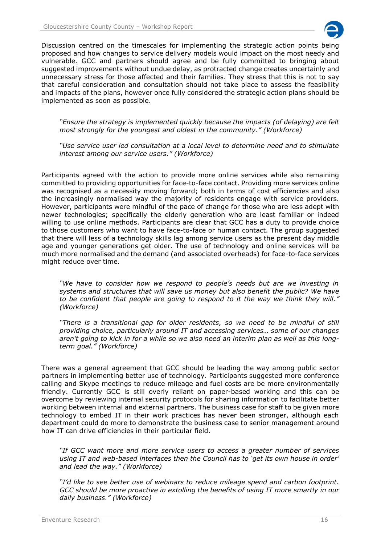

Discussion centred on the timescales for implementing the strategic action points being proposed and how changes to service delivery models would impact on the most needy and vulnerable. GCC and partners should agree and be fully committed to bringing about suggested improvements without undue delay, as protracted change creates uncertainly and unnecessary stress for those affected and their families. They stress that this is not to say that careful consideration and consultation should not take place to assess the feasibility and impacts of the plans, however once fully considered the strategic action plans should be implemented as soon as possible.

*"Ensure the strategy is implemented quickly because the impacts (of delaying) are felt most strongly for the youngest and oldest in the community." (Workforce)*

*"Use service user led consultation at a local level to determine need and to stimulate interest among our service users." (Workforce)*

Participants agreed with the action to provide more online services while also remaining committed to providing opportunities for face-to-face contact. Providing more services online was recognised as a necessity moving forward; both in terms of cost efficiencies and also the increasingly normalised way the majority of residents engage with service providers. However, participants were mindful of the pace of change for those who are less adept with newer technologies; specifically the elderly generation who are least familiar or indeed willing to use online methods. Participants are clear that GCC has a duty to provide choice to those customers who want to have face-to-face or human contact. The group suggested that there will less of a technology skills lag among service users as the present day middle age and younger generations get older. The use of technology and online services will be much more normalised and the demand (and associated overheads) for face-to-face services might reduce over time.

*"We have to consider how we respond to people's needs but are we investing in systems and structures that will save us money but also benefit the public? We have*  to be confident that people are going to respond to it the way we think they will." *(Workforce)* 

*"There is a transitional gap for older residents, so we need to be mindful of still providing choice, particularly around IT and accessing services… some of our changes*  aren't going to kick in for a while so we also need an interim plan as well as this long*term goal." (Workforce)*

There was a general agreement that GCC should be leading the way among public sector partners in implementing better use of technology. Participants suggested more conference calling and Skype meetings to reduce mileage and fuel costs are be more environmentally friendly. Currently GCC is still overly reliant on paper-based working and this can be overcome by reviewing internal security protocols for sharing information to facilitate better working between internal and external partners. The business case for staff to be given more technology to embed IT in their work practices has never been stronger, although each department could do more to demonstrate the business case to senior management around how IT can drive efficiencies in their particular field.

*"If GCC want more and more service users to access a greater number of services using IT and web-based interfaces then the Council has to 'get its own house in order' and lead the way." (Workforce)*

*"I'd like to see better use of webinars to reduce mileage spend and carbon footprint. GCC should be more proactive in extolling the benefits of using IT more smartly in our daily business." (Workforce)*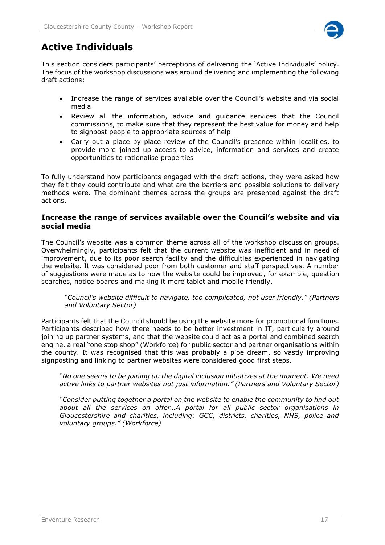

# <span id="page-16-0"></span>**Active Individuals**

This section considers participants' perceptions of delivering the 'Active Individuals' policy. The focus of the workshop discussions was around delivering and implementing the following draft actions:

- Increase the range of services available over the Council's website and via social media
- Review all the information, advice and guidance services that the Council commissions, to make sure that they represent the best value for money and help to signpost people to appropriate sources of help
- Carry out a place by place review of the Council's presence within localities, to provide more joined up access to advice, information and services and create opportunities to rationalise properties

To fully understand how participants engaged with the draft actions, they were asked how they felt they could contribute and what are the barriers and possible solutions to delivery methods were. The dominant themes across the groups are presented against the draft actions.

# **Increase the range of services available over the Council's website and via social media**

The Council's website was a common theme across all of the workshop discussion groups. Overwhelmingly, participants felt that the current website was inefficient and in need of improvement, due to its poor search facility and the difficulties experienced in navigating the website. It was considered poor from both customer and staff perspectives. A number of suggestions were made as to how the website could be improved, for example, question searches, notice boards and making it more tablet and mobile friendly.

*"Council's website difficult to navigate, too complicated, not user friendly." (Partners and Voluntary Sector)*

Participants felt that the Council should be using the website more for promotional functions. Participants described how there needs to be better investment in IT, particularly around joining up partner systems, and that the website could act as a portal and combined search engine, a real "one stop shop" (Workforce) for public sector and partner organisations within the county. It was recognised that this was probably a pipe dream, so vastly improving signposting and linking to partner websites were considered good first steps.

*"No one seems to be joining up the digital inclusion initiatives at the moment. We need active links to partner websites not just information." (Partners and Voluntary Sector)*

*"Consider putting together a portal on the website to enable the community to find out about all the services on offer…A portal for all public sector organisations in Gloucestershire and charities, including: GCC, districts, charities, NHS, police and voluntary groups." (Workforce)*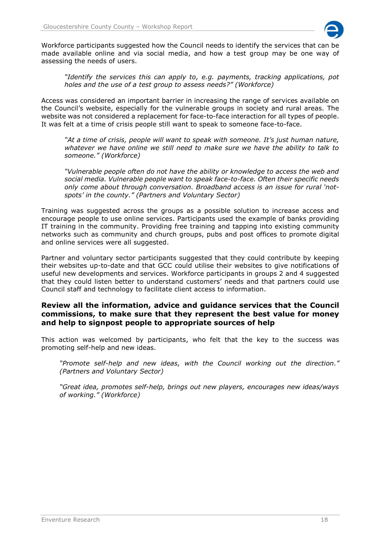

Workforce participants suggested how the Council needs to identify the services that can be made available online and via social media, and how a test group may be one way of assessing the needs of users.

*"Identify the services this can apply to, e.g. payments, tracking applications, pot holes and the use of a test group to assess needs?" (Workforce)*

Access was considered an important barrier in increasing the range of services available on the Council's website, especially for the vulnerable groups in society and rural areas. The website was not considered a replacement for face-to-face interaction for all types of people. It was felt at a time of crisis people still want to speak to someone face-to-face.

*"At a time of crisis, people will want to speak with someone. It's just human nature, whatever we have online we still need to make sure we have the ability to talk to someone." (Workforce)*

*"Vulnerable people often do not have the ability or knowledge to access the web and social media. Vulnerable people want to speak face-to-face. Often their specific needs only come about through conversation. Broadband access is an issue for rural 'notspots' in the county." (Partners and Voluntary Sector)* 

Training was suggested across the groups as a possible solution to increase access and encourage people to use online services. Participants used the example of banks providing IT training in the community. Providing free training and tapping into existing community networks such as community and church groups, pubs and post offices to promote digital and online services were all suggested.

Partner and voluntary sector participants suggested that they could contribute by keeping their websites up-to-date and that GCC could utilise their websites to give notifications of useful new developments and services. Workforce participants in groups 2 and 4 suggested that they could listen better to understand customers' needs and that partners could use Council staff and technology to facilitate client access to information.

# **Review all the information, advice and guidance services that the Council commissions, to make sure that they represent the best value for money and help to signpost people to appropriate sources of help**

This action was welcomed by participants, who felt that the key to the success was promoting self-help and new ideas.

*"Promote self-help and new ideas, with the Council working out the direction." (Partners and Voluntary Sector)*

*"Great idea, promotes self-help, brings out new players, encourages new ideas/ways of working." (Workforce)*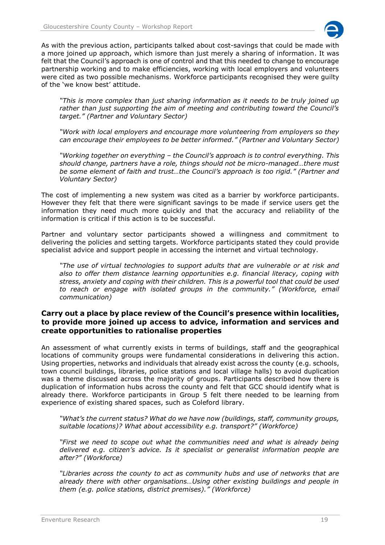

As with the previous action, participants talked about cost-savings that could be made with a more joined up approach, which ismore than just merely a sharing of information. It was felt that the Council's approach is one of control and that this needed to change to encourage partnership working and to make efficiencies, working with local employers and volunteers were cited as two possible mechanisms. Workforce participants recognised they were guilty of the 'we know best' attitude.

*"This is more complex than just sharing information as it needs to be truly joined up rather than just supporting the aim of meeting and contributing toward the Council's target." (Partner and Voluntary Sector)*

*"Work with local employers and encourage more volunteering from employers so they can encourage their employees to be better informed." (Partner and Voluntary Sector)*

*"Working together on everything – the Council's approach is to control everything. This should change, partners have a role, things should not be micro-managed…there must be some element of faith and trust…the Council's approach is too rigid." (Partner and Voluntary Sector)*

The cost of implementing a new system was cited as a barrier by workforce participants. However they felt that there were significant savings to be made if service users get the information they need much more quickly and that the accuracy and reliability of the information is critical if this action is to be successful.

Partner and voluntary sector participants showed a willingness and commitment to delivering the policies and setting targets. Workforce participants stated they could provide specialist advice and support people in accessing the internet and virtual technology.

*"The use of virtual technologies to support adults that are vulnerable or at risk and also to offer them distance learning opportunities e.g. financial literacy, coping with stress, anxiety and coping with their children. This is a powerful tool that could be used to reach or engage with isolated groups in the community." (Workforce, email communication)*

# **Carry out a place by place review of the Council's presence within localities, to provide more joined up access to advice, information and services and create opportunities to rationalise properties**

An assessment of what currently exists in terms of buildings, staff and the geographical locations of community groups were fundamental considerations in delivering this action. Using properties, networks and individuals that already exist across the county (e.g. schools, town council buildings, libraries, police stations and local village halls) to avoid duplication was a theme discussed across the majority of groups. Participants described how there is duplication of information hubs across the county and felt that GCC should identify what is already there. Workforce participants in Group 5 felt there needed to be learning from experience of existing shared spaces, such as Coleford library.

*"What's the current status? What do we have now (buildings, staff, community groups, suitable locations)? What about accessibility e.g. transport?" (Workforce)*

*"First we need to scope out what the communities need and what is already being delivered e.g. citizen's advice. Is it specialist or generalist information people are after?" (Workforce)*

*"Libraries across the county to act as community hubs and use of networks that are already there with other organisations…Using other existing buildings and people in them (e.g. police stations, district premises)." (Workforce)*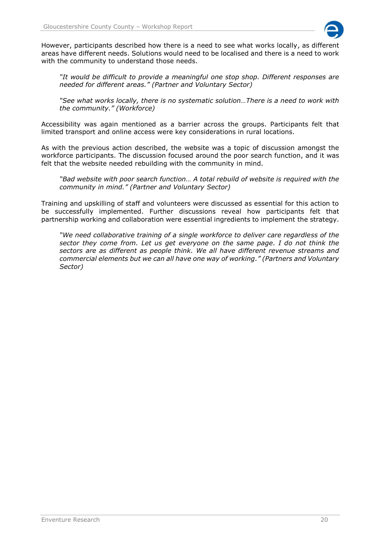

However, participants described how there is a need to see what works locally, as different areas have different needs. Solutions would need to be localised and there is a need to work with the community to understand those needs.

*"It would be difficult to provide a meaningful one stop shop. Different responses are needed for different areas." (Partner and Voluntary Sector)*

*"See what works locally, there is no systematic solution…There is a need to work with the community." (Workforce)*

Accessibility was again mentioned as a barrier across the groups. Participants felt that limited transport and online access were key considerations in rural locations.

As with the previous action described, the website was a topic of discussion amongst the workforce participants. The discussion focused around the poor search function, and it was felt that the website needed rebuilding with the community in mind.

*"Bad website with poor search function… A total rebuild of website is required with the community in mind." (Partner and Voluntary Sector)*

Training and upskilling of staff and volunteers were discussed as essential for this action to be successfully implemented. Further discussions reveal how participants felt that partnership working and collaboration were essential ingredients to implement the strategy.

*"We need collaborative training of a single workforce to deliver care regardless of the sector they come from. Let us get everyone on the same page. I do not think the sectors are as different as people think. We all have different revenue streams and commercial elements but we can all have one way of working." (Partners and Voluntary Sector)*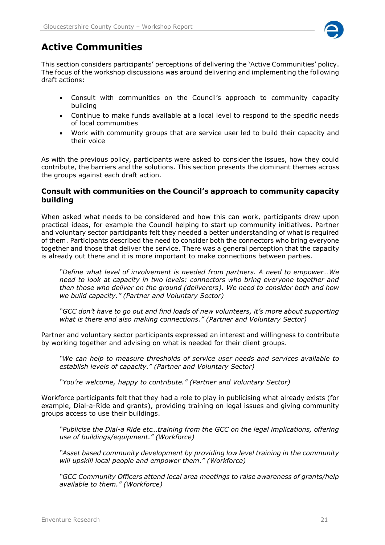

# <span id="page-20-0"></span>**Active Communities**

This section considers participants' perceptions of delivering the 'Active Communities' policy. The focus of the workshop discussions was around delivering and implementing the following draft actions:

- Consult with communities on the Council's approach to community capacity building
- Continue to make funds available at a local level to respond to the specific needs of local communities
- Work with community groups that are service user led to build their capacity and their voice

As with the previous policy, participants were asked to consider the issues, how they could contribute, the barriers and the solutions. This section presents the dominant themes across the groups against each draft action.

# **Consult with communities on the Council's approach to community capacity building**

When asked what needs to be considered and how this can work, participants drew upon practical ideas, for example the Council helping to start up community initiatives. Partner and voluntary sector participants felt they needed a better understanding of what is required of them. Participants described the need to consider both the connectors who bring everyone together and those that deliver the service. There was a general perception that the capacity is already out there and it is more important to make connections between parties.

*"Define what level of involvement is needed from partners. A need to empower…We need to look at capacity in two levels: connectors who bring everyone together and then those who deliver on the ground (deliverers). We need to consider both and how we build capacity." (Partner and Voluntary Sector)*

*"GCC don't have to go out and find loads of new volunteers, it's more about supporting what is there and also making connections." (Partner and Voluntary Sector)*

Partner and voluntary sector participants expressed an interest and willingness to contribute by working together and advising on what is needed for their client groups.

*"We can help to measure thresholds of service user needs and services available to establish levels of capacity." (Partner and Voluntary Sector)*

*"You're welcome, happy to contribute." (Partner and Voluntary Sector)*

Workforce participants felt that they had a role to play in publicising what already exists (for example, Dial-a-Ride and grants), providing training on legal issues and giving community groups access to use their buildings.

*"Publicise the Dial-a Ride etc…training from the GCC on the legal implications, offering use of buildings/equipment." (Workforce)*

*"Asset based community development by providing low level training in the community will upskill local people and empower them." (Workforce)* 

*"GCC Community Officers attend local area meetings to raise awareness of grants/help available to them." (Workforce)*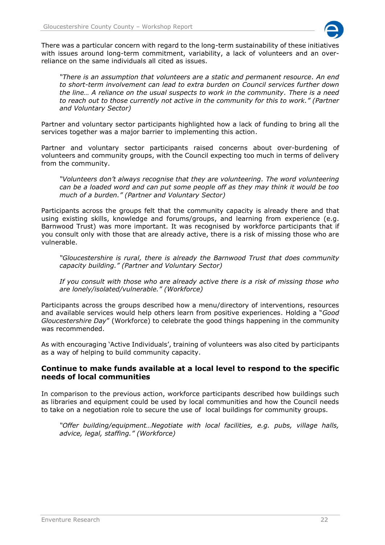

There was a particular concern with regard to the long-term sustainability of these initiatives with issues around long-term commitment, variability, a lack of volunteers and an overreliance on the same individuals all cited as issues.

*"There is an assumption that volunteers are a static and permanent resource. An end to short-term involvement can lead to extra burden on Council services further down the line… A reliance on the usual suspects to work in the community. There is a need to reach out to those currently not active in the community for this to work." (Partner and Voluntary Sector)*

Partner and voluntary sector participants highlighted how a lack of funding to bring all the services together was a major barrier to implementing this action.

Partner and voluntary sector participants raised concerns about over-burdening of volunteers and community groups, with the Council expecting too much in terms of delivery from the community.

*"Volunteers don't always recognise that they are volunteering. The word volunteering can be a loaded word and can put some people off as they may think it would be too much of a burden." (Partner and Voluntary Sector)*

Participants across the groups felt that the community capacity is already there and that using existing skills, knowledge and forums/groups, and learning from experience (e.g. Barnwood Trust) was more important. It was recognised by workforce participants that if you consult only with those that are already active, there is a risk of missing those who are vulnerable.

*"Gloucestershire is rural, there is already the Barnwood Trust that does community capacity building." (Partner and Voluntary Sector)* 

*If you consult with those who are already active there is a risk of missing those who are lonely/isolated/vulnerable." (Workforce)*

Participants across the groups described how a menu/directory of interventions, resources and available services would help others learn from positive experiences. Holding a "*Good Gloucestershire Day*" (Workforce) to celebrate the good things happening in the community was recommended.

As with encouraging 'Active Individuals', training of volunteers was also cited by participants as a way of helping to build community capacity.

# **Continue to make funds available at a local level to respond to the specific needs of local communities**

In comparison to the previous action, workforce participants described how buildings such as libraries and equipment could be used by local communities and how the Council needs to take on a negotiation role to secure the use of local buildings for community groups.

*"Offer building/equipment…Negotiate with local facilities, e.g. pubs, village halls, advice, legal, staffing." (Workforce)*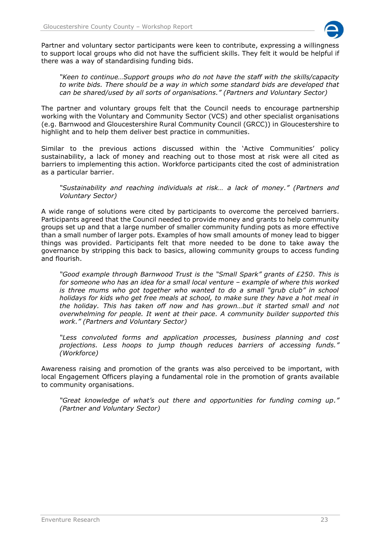

Partner and voluntary sector participants were keen to contribute, expressing a willingness to support local groups who did not have the sufficient skills. They felt it would be helpful if there was a way of standardising funding bids.

*"Keen to continue…Support groups who do not have the staff with the skills/capacity to write bids. There should be a way in which some standard bids are developed that can be shared/used by all sorts of organisations." (Partners and Voluntary Sector)* 

The partner and voluntary groups felt that the Council needs to encourage partnership working with the Voluntary and Community Sector (VCS) and other specialist organisations (e.g. Barnwood and Gloucestershire Rural Community Council (GRCC)) in Gloucestershire to highlight and to help them deliver best practice in communities.

Similar to the previous actions discussed within the 'Active Communities' policy sustainability, a lack of money and reaching out to those most at risk were all cited as barriers to implementing this action. Workforce participants cited the cost of administration as a particular barrier.

*"Sustainability and reaching individuals at risk… a lack of money." (Partners and Voluntary Sector)*

A wide range of solutions were cited by participants to overcome the perceived barriers. Participants agreed that the Council needed to provide money and grants to help community groups set up and that a large number of smaller community funding pots as more effective than a small number of larger pots. Examples of how small amounts of money lead to bigger things was provided. Participants felt that more needed to be done to take away the governance by stripping this back to basics, allowing community groups to access funding and flourish.

*"Good example through Barnwood Trust is the "Small Spark" grants of £250. This is for someone who has an idea for a small local venture – example of where this worked is three mums who got together who wanted to do a small "grub club" in school holidays for kids who get free meals at school, to make sure they have a hot meal in the holiday. This has taken off now and has grown…but it started small and not overwhelming for people. It went at their pace. A community builder supported this work." (Partners and Voluntary Sector)*

*"Less convoluted forms and application processes, business planning and cost projections. Less hoops to jump though reduces barriers of accessing funds." (Workforce)*

Awareness raising and promotion of the grants was also perceived to be important, with local Engagement Officers playing a fundamental role in the promotion of grants available to community organisations.

*"Great knowledge of what's out there and opportunities for funding coming up." (Partner and Voluntary Sector)*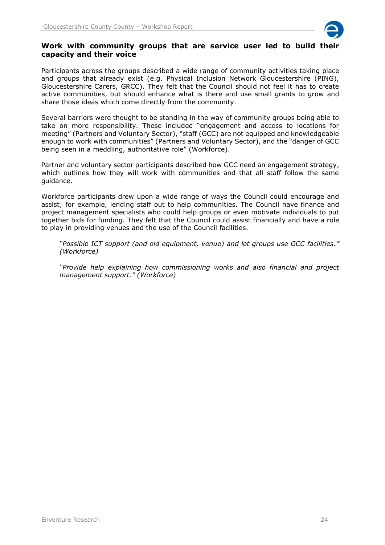

#### **Work with community groups that are service user led to build their capacity and their voice**

Participants across the groups described a wide range of community activities taking place and groups that already exist (e.g. Physical Inclusion Network Gloucestershire (PING), Gloucestershire Carers, GRCC). They felt that the Council should not feel it has to create active communities, but should enhance what is there and use small grants to grow and share those ideas which come directly from the community.

Several barriers were thought to be standing in the way of community groups being able to take on more responsibility. These included "engagement and access to locations for meeting" (Partners and Voluntary Sector), "staff (GCC) are not equipped and knowledgeable enough to work with communities" (Partners and Voluntary Sector), and the "danger of GCC being seen in a meddling, authoritative role" (Workforce).

Partner and voluntary sector participants described how GCC need an engagement strategy, which outlines how they will work with communities and that all staff follow the same guidance.

Workforce participants drew upon a wide range of ways the Council could encourage and assist; for example, lending staff out to help communities. The Council have finance and project management specialists who could help groups or even motivate individuals to put together bids for funding. They felt that the Council could assist financially and have a role to play in providing venues and the use of the Council facilities.

*"Possible ICT support (and old equipment, venue) and let groups use GCC facilities." (Workforce)*

*"Provide help explaining how commissioning works and also financial and project management support." (Workforce)*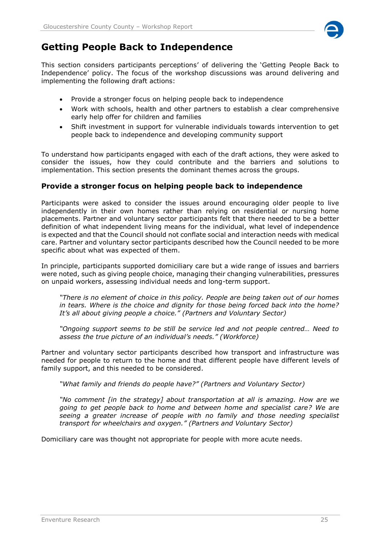

# <span id="page-24-0"></span>**Getting People Back to Independence**

This section considers participants perceptions' of delivering the 'Getting People Back to Independence' policy. The focus of the workshop discussions was around delivering and implementing the following draft actions:

- Provide a stronger focus on helping people back to independence
- Work with schools, health and other partners to establish a clear comprehensive early help offer for children and families
- Shift investment in support for vulnerable individuals towards intervention to get people back to independence and developing community support

To understand how participants engaged with each of the draft actions, they were asked to consider the issues, how they could contribute and the barriers and solutions to implementation. This section presents the dominant themes across the groups.

# **Provide a stronger focus on helping people back to independence**

Participants were asked to consider the issues around encouraging older people to live independently in their own homes rather than relying on residential or nursing home placements. Partner and voluntary sector participants felt that there needed to be a better definition of what independent living means for the individual, what level of independence is expected and that the Council should not conflate social and interaction needs with medical care. Partner and voluntary sector participants described how the Council needed to be more specific about what was expected of them.

In principle, participants supported domiciliary care but a wide range of issues and barriers were noted, such as giving people choice, managing their changing vulnerabilities, pressures on unpaid workers, assessing individual needs and long-term support.

*"There is no element of choice in this policy. People are being taken out of our homes in tears. Where is the choice and dignity for those being forced back into the home? It's all about giving people a choice." (Partners and Voluntary Sector)*

*"Ongoing support seems to be still be service led and not people centred… Need to assess the true picture of an individual's needs." (Workforce)*

Partner and voluntary sector participants described how transport and infrastructure was needed for people to return to the home and that different people have different levels of family support, and this needed to be considered.

*"What family and friends do people have?" (Partners and Voluntary Sector)*

*"No comment [in the strategy] about transportation at all is amazing. How are we going to get people back to home and between home and specialist care? We are seeing a greater increase of people with no family and those needing specialist transport for wheelchairs and oxygen." (Partners and Voluntary Sector)*

Domiciliary care was thought not appropriate for people with more acute needs.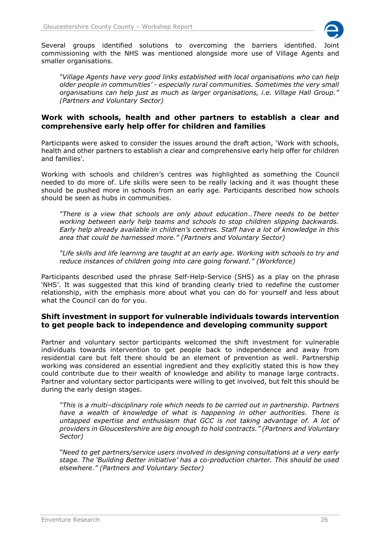

Several groups identified solutions to overcoming the barriers identified. Joint commissioning with the NHS was mentioned alongside more use of Village Agents and smaller organisations.

*"Village Agents have very good links established with local organisations who can help older people in communities' - especially rural communities. Sometimes the very small organisations can help just as much as larger organisations, i.e. Village Hall Group." (Partners and Voluntary Sector)*

# **Work with schools, health and other partners to establish a clear and comprehensive early help offer for children and families**

Participants were asked to consider the issues around the draft action, 'Work with schools, health and other partners to establish a clear and comprehensive early help offer for children and families'.

Working with schools and children's centres was highlighted as something the Council needed to do more of. Life skills were seen to be really lacking and it was thought these should be pushed more in schools from an early age. Participants described how schools should be seen as hubs in communities.

*"There is a view that schools are only about education…There needs to be better working between early help teams and schools to stop children slipping backwards. Early help already available in children's centres. Staff have a lot of knowledge in this area that could be harnessed more." (Partners and Voluntary Sector)*

*"Life skills and life learning are taught at an early age. Working with schools to try and reduce instances of children going into care going forward." (Workforce)*

Participants described used the phrase Self-Help-Service (SHS) as a play on the phrase 'NHS'. It was suggested that this kind of branding clearly tried to redefine the customer relationship, with the emphasis more about what you can do for yourself and less about what the Council can do for you.

# **Shift investment in support for vulnerable individuals towards intervention to get people back to independence and developing community support**

Partner and voluntary sector participants welcomed the shift investment for vulnerable individuals towards intervention to get people back to independence and away from residential care but felt there should be an element of prevention as well. Partnership working was considered an essential ingredient and they explicitly stated this is how they could contribute due to their wealth of knowledge and ability to manage large contracts. Partner and voluntary sector participants were willing to get involved, but felt this should be during the early design stages.

*"This is a multi–disciplinary role which needs to be carried out in partnership. Partners have a wealth of knowledge of what is happening in other authorities. There is untapped expertise and enthusiasm that GCC is not taking advantage of. A lot of providers in Gloucestershire are big enough to hold contracts." (Partners and Voluntary Sector)*

*"Need to get partners/service users involved in designing consultations at a very early stage. The 'Building Better initiative' has a co-production charter. This should be used elsewhere." (Partners and Voluntary Sector)*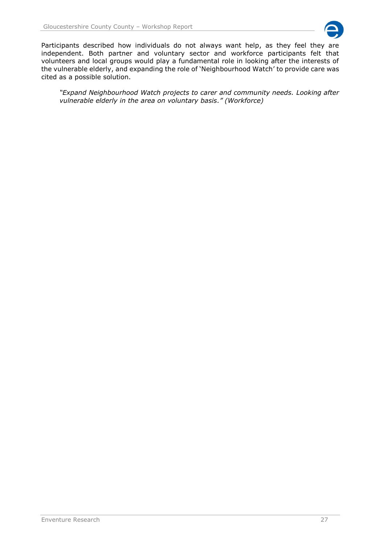

Participants described how individuals do not always want help, as they feel they are independent. Both partner and voluntary sector and workforce participants felt that volunteers and local groups would play a fundamental role in looking after the interests of the vulnerable elderly, and expanding the role of 'Neighbourhood Watch' to provide care was cited as a possible solution.

*"Expand Neighbourhood Watch projects to carer and community needs. Looking after vulnerable elderly in the area on voluntary basis." (Workforce)*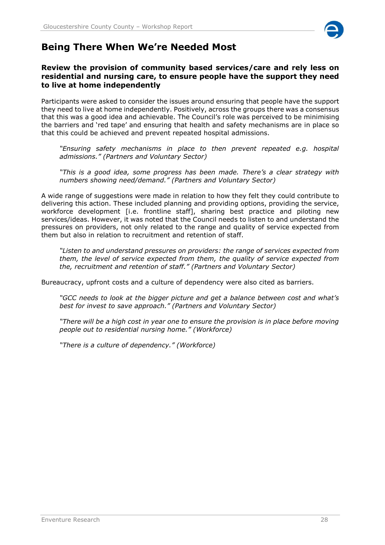

# <span id="page-27-0"></span>**Being There When We're Needed Most**

# **Review the provision of community based services/care and rely less on residential and nursing care, to ensure people have the support they need to live at home independently**

Participants were asked to consider the issues around ensuring that people have the support they need to live at home independently. Positively, across the groups there was a consensus that this was a good idea and achievable. The Council's role was perceived to be minimising the barriers and 'red tape' and ensuring that health and safety mechanisms are in place so that this could be achieved and prevent repeated hospital admissions.

*"Ensuring safety mechanisms in place to then prevent repeated e.g. hospital admissions." (Partners and Voluntary Sector)*

*"This is a good idea, some progress has been made. There's a clear strategy with numbers showing need/demand." (Partners and Voluntary Sector)*

A wide range of suggestions were made in relation to how they felt they could contribute to delivering this action. These included planning and providing options, providing the service, workforce development [i.e. frontline staff], sharing best practice and piloting new services/ideas. However, it was noted that the Council needs to listen to and understand the pressures on providers, not only related to the range and quality of service expected from them but also in relation to recruitment and retention of staff.

*"Listen to and understand pressures on providers: the range of services expected from them, the level of service expected from them, the quality of service expected from the, recruitment and retention of staff." (Partners and Voluntary Sector)*

Bureaucracy, upfront costs and a culture of dependency were also cited as barriers.

*"GCC needs to look at the bigger picture and get a balance between cost and what's best for invest to save approach." (Partners and Voluntary Sector)*

*"There will be a high cost in year one to ensure the provision is in place before moving people out to residential nursing home." (Workforce)*

*"There is a culture of dependency." (Workforce)*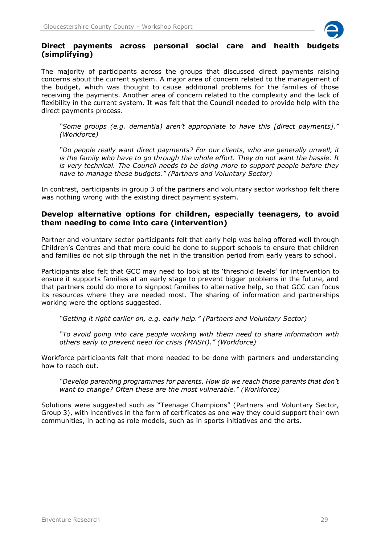

# **Direct payments across personal social care and health budgets (simplifying)**

The majority of participants across the groups that discussed direct payments raising concerns about the current system. A major area of concern related to the management of the budget, which was thought to cause additional problems for the families of those receiving the payments. Another area of concern related to the complexity and the lack of flexibility in the current system. It was felt that the Council needed to provide help with the direct payments process.

*"Some groups (e.g. dementia) aren't appropriate to have this [direct payments]." (Workforce)*

*"Do people really want direct payments? For our clients, who are generally unwell, it is the family who have to go through the whole effort. They do not want the hassle. It is very technical. The Council needs to be doing more to support people before they have to manage these budgets." (Partners and Voluntary Sector)*

In contrast, participants in group 3 of the partners and voluntary sector workshop felt there was nothing wrong with the existing direct payment system.

# **Develop alternative options for children, especially teenagers, to avoid them needing to come into care (intervention)**

Partner and voluntary sector participants felt that early help was being offered well through Children's Centres and that more could be done to support schools to ensure that children and families do not slip through the net in the transition period from early years to school.

Participants also felt that GCC may need to look at its 'threshold levels' for intervention to ensure it supports families at an early stage to prevent bigger problems in the future, and that partners could do more to signpost families to alternative help, so that GCC can focus its resources where they are needed most. The sharing of information and partnerships working were the options suggested.

*"Getting it right earlier on, e.g. early help." (Partners and Voluntary Sector)*

*"To avoid going into care people working with them need to share information with others early to prevent need for crisis (MASH)." (Workforce)*

Workforce participants felt that more needed to be done with partners and understanding how to reach out.

*"Develop parenting programmes for parents. How do we reach those parents that don't want to change? Often these are the most vulnerable." (Workforce)*

Solutions were suggested such as "Teenage Champions" (Partners and Voluntary Sector, Group 3), with incentives in the form of certificates as one way they could support their own communities, in acting as role models, such as in sports initiatives and the arts.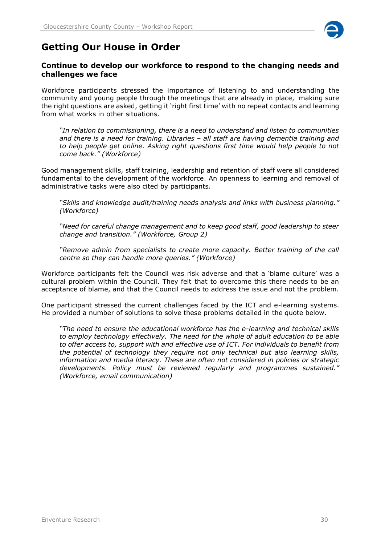

# <span id="page-29-0"></span>**Getting Our House in Order**

# **Continue to develop our workforce to respond to the changing needs and challenges we face**

Workforce participants stressed the importance of listening to and understanding the community and young people through the meetings that are already in place, making sure the right questions are asked, getting it 'right first time' with no repeat contacts and learning from what works in other situations.

*"In relation to commissioning, there is a need to understand and listen to communities and there is a need for training. Libraries – all staff are having dementia training and to help people get online. Asking right questions first time would help people to not come back." (Workforce)*

Good management skills, staff training, leadership and retention of staff were all considered fundamental to the development of the workforce. An openness to learning and removal of administrative tasks were also cited by participants.

*"Skills and knowledge audit/training needs analysis and links with business planning." (Workforce)*

*"Need for careful change management and to keep good staff, good leadership to steer change and transition." (Workforce, Group 2)*

*"Remove admin from specialists to create more capacity. Better training of the call centre so they can handle more queries." (Workforce)*

Workforce participants felt the Council was risk adverse and that a 'blame culture' was a cultural problem within the Council. They felt that to overcome this there needs to be an acceptance of blame, and that the Council needs to address the issue and not the problem.

One participant stressed the current challenges faced by the ICT and e-learning systems. He provided a number of solutions to solve these problems detailed in the quote below.

*"The need to ensure the educational workforce has the e-learning and technical skills to employ technology effectively. The need for the whole of adult education to be able to offer access to, support with and effective use of ICT. For individuals to benefit from the potential of technology they require not only technical but also learning skills, information and media literacy. These are often not considered in policies or strategic developments. Policy must be reviewed regularly and programmes sustained." (Workforce, email communication)*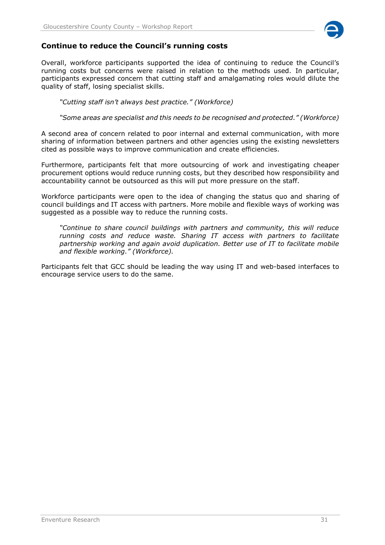

# **Continue to reduce the Council's running costs**

Overall, workforce participants supported the idea of continuing to reduce the Council's running costs but concerns were raised in relation to the methods used. In particular, participants expressed concern that cutting staff and amalgamating roles would dilute the quality of staff, losing specialist skills.

*"Cutting staff isn't always best practice." (Workforce)*

*"Some areas are specialist and this needs to be recognised and protected." (Workforce)*

A second area of concern related to poor internal and external communication, with more sharing of information between partners and other agencies using the existing newsletters cited as possible ways to improve communication and create efficiencies.

Furthermore, participants felt that more outsourcing of work and investigating cheaper procurement options would reduce running costs, but they described how responsibility and accountability cannot be outsourced as this will put more pressure on the staff.

Workforce participants were open to the idea of changing the status quo and sharing of council buildings and IT access with partners. More mobile and flexible ways of working was suggested as a possible way to reduce the running costs.

*"Continue to share council buildings with partners and community, this will reduce running costs and reduce waste. Sharing IT access with partners to facilitate partnership working and again avoid duplication. Better use of IT to facilitate mobile and flexible working." (Workforce).*

Participants felt that GCC should be leading the way using IT and web-based interfaces to encourage service users to do the same.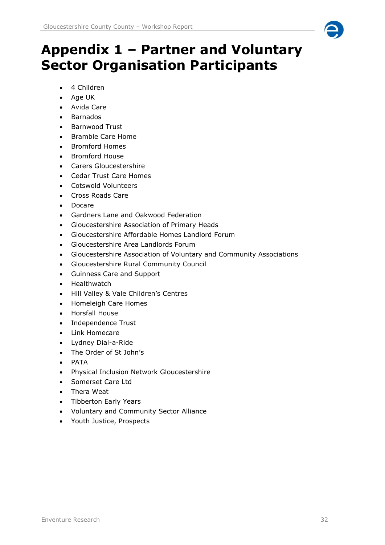# <span id="page-31-0"></span>**Appendix 1 – Partner and Voluntary Sector Organisation Participants**

- 4 Children
- Age UK
- Avida Care
- Barnados
- Barnwood Trust
- Bramble Care Home
- Bromford Homes
- Bromford House
- Carers Gloucestershire
- Cedar Trust Care Homes
- Cotswold Volunteers
- Cross Roads Care
- Docare
- Gardners Lane and Oakwood Federation
- Gloucestershire Association of Primary Heads
- Gloucestershire Affordable Homes Landlord Forum
- Gloucestershire Area Landlords Forum
- Gloucestershire Association of Voluntary and Community Associations
- Gloucestershire Rural Community Council
- Guinness Care and Support
- Healthwatch
- Hill Valley & Vale Children's Centres
- Homeleigh Care Homes
- Horsfall House
- Independence Trust
- Link Homecare
- Lydney Dial-a-Ride
- The Order of St John's
- PATA
- Physical Inclusion Network Gloucestershire
- Somerset Care Ltd
- Thera Weat
- Tibberton Early Years
- Voluntary and Community Sector Alliance
- Youth Justice, Prospects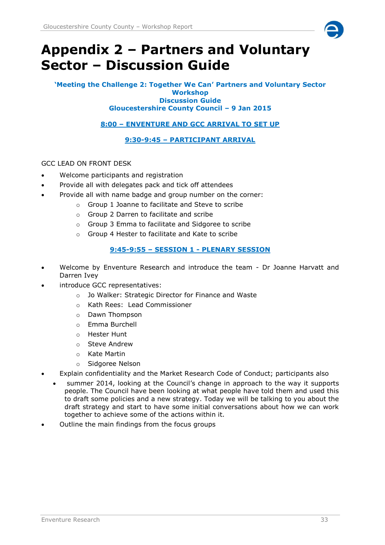

# <span id="page-32-0"></span>**Appendix 2 – Partners and Voluntary Sector – Discussion Guide**

#### **'Meeting the Challenge 2: Together We Can' Partners and Voluntary Sector Workshop Discussion Guide Gloucestershire County Council – 9 Jan 2015**

**8:00 – ENVENTURE AND GCC ARRIVAL TO SET UP**

**9:30-9:45 – PARTICIPANT ARRIVAL**

# GCC LEAD ON FRONT DESK

- Welcome participants and registration
- Provide all with delegates pack and tick off attendees
- Provide all with name badge and group number on the corner:
	- o Group 1 Joanne to facilitate and Steve to scribe
		- o Group 2 Darren to facilitate and scribe
	- o Group 3 Emma to facilitate and Sidgoree to scribe
	- o Group 4 Hester to facilitate and Kate to scribe

# **9:45-9:55 – SESSION 1 - PLENARY SESSION**

- Welcome by Enventure Research and introduce the team Dr Joanne Harvatt and Darren Ivey
- introduce GCC representatives:
	- o Jo Walker: Strategic Director for Finance and Waste
	- o Kath Rees: Lead Commissioner
	- o Dawn Thompson
	- o Emma Burchell
	- o Hester Hunt
	- o Steve Andrew
	- o Kate Martin
	- o Sidgoree Nelson
- Explain confidentiality and the Market Research Code of Conduct; participants also
	- summer 2014, looking at the Council's change in approach to the way it supports people. The Council have been looking at what people have told them and used this to draft some policies and a new strategy. Today we will be talking to you about the draft strategy and start to have some initial conversations about how we can work together to achieve some of the actions within it.
- Outline the main findings from the focus groups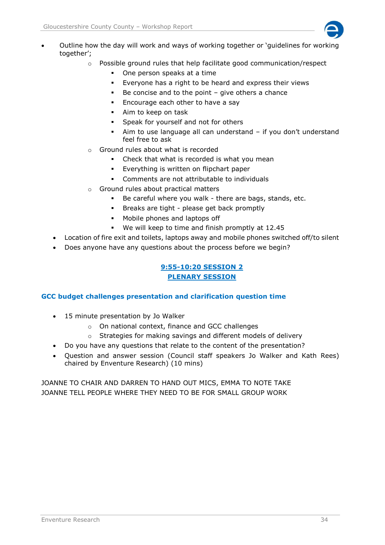

- Outline how the day will work and ways of working together or 'guidelines for working together';
	- $\circ$  Possible ground rules that help facilitate good communication/respect
		- One person speaks at a time
		- Everyone has a right to be heard and express their views
		- $\blacksquare$  Be concise and to the point give others a chance
		- **Encourage each other to have a say**
		- Aim to keep on task
		- Speak for yourself and not for others
		- Aim to use language all can understand if you don't understand feel free to ask
	- o Ground rules about what is recorded
		- Check that what is recorded is what you mean
		- Everything is written on flipchart paper
		- Comments are not attributable to individuals
	- o Ground rules about practical matters
		- Be careful where you walk there are bags, stands, etc.
		- Breaks are tight please get back promptly
		- Mobile phones and laptops off
		- We will keep to time and finish promptly at 12.45
	- Location of fire exit and toilets, laptops away and mobile phones switched off/to silent
	- Does anyone have any questions about the process before we begin?

# **9:55-10:20 SESSION 2 PLENARY SESSION**

## **GCC budget challenges presentation and clarification question time**

- 15 minute presentation by Jo Walker
	- o On national context, finance and GCC challenges
	- o Strategies for making savings and different models of delivery
- Do you have any questions that relate to the content of the presentation?
- Question and answer session (Council staff speakers Jo Walker and Kath Rees) chaired by Enventure Research) (10 mins)

JOANNE TO CHAIR AND DARREN TO HAND OUT MICS, EMMA TO NOTE TAKE JOANNE TELL PEOPLE WHERE THEY NEED TO BE FOR SMALL GROUP WORK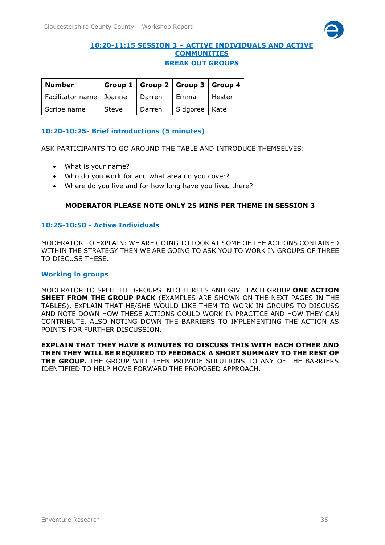

## **10:20-11:15 SESSION 3 – ACTIVE INDIVIDUALS AND ACTIVE COMMUNITIES BREAK OUT GROUPS**

| <b>Number</b>             |       |          |                 | Group 1   Group 2   Group 3   Group 4 |
|---------------------------|-------|----------|-----------------|---------------------------------------|
| Facilitator name   Joanne |       | Darren   | l Emma          | Hester                                |
| Scribe name               | Steve | l Darren | Sidgoree   Kate |                                       |

# **10:20-10:25- Brief introductions (5 minutes)**

ASK PARTICIPANTS TO GO AROUND THE TABLE AND INTRODUCE THEMSELVES:

- What is your name?
- Who do you work for and what area do you cover?
- Where do you live and for how long have you lived there?

# **MODERATOR PLEASE NOTE ONLY 25 MINS PER THEME IN SESSION 3**

# **10:25-10:50 - Active Individuals**

MODERATOR TO EXPLAIN: WE ARE GOING TO LOOK AT SOME OF THE ACTIONS CONTAINED WITHIN THE STRATEGY THEN WE ARE GOING TO ASK YOU TO WORK IN GROUPS OF THREE TO DISCUSS THESE.

#### **Working in groups**

MODERATOR TO SPLIT THE GROUPS INTO THREES AND GIVE EACH GROUP **ONE ACTION SHEET FROM THE GROUP PACK** (EXAMPLES ARE SHOWN ON THE NEXT PAGES IN THE TABLES). EXPLAIN THAT HE/SHE WOULD LIKE THEM TO WORK IN GROUPS TO DISCUSS AND NOTE DOWN HOW THESE ACTIONS COULD WORK IN PRACTICE AND HOW THEY CAN CONTRIBUTE, ALSO NOTING DOWN THE BARRIERS TO IMPLEMENTING THE ACTION AS POINTS FOR FURTHER DISCUSSION.

**EXPLAIN THAT THEY HAVE 8 MINUTES TO DISCUSS THIS WITH EACH OTHER AND THEN THEY WILL BE REQUIRED TO FEEDBACK A SHORT SUMMARY TO THE REST OF THE GROUP.** THE GROUP WILL THEN PROVIDE SOLUTIONS TO ANY OF THE BARRIERS IDENTIFIED TO HELP MOVE FORWARD THE PROPOSED APPROACH.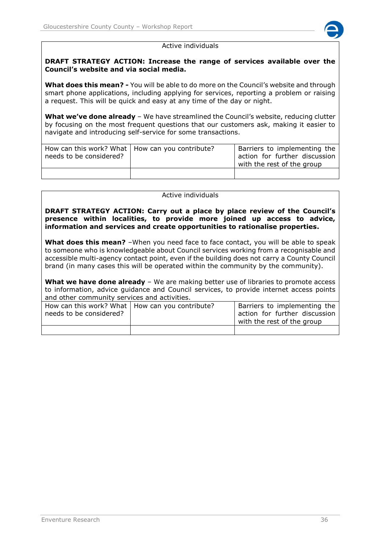

#### Active individuals

## **DRAFT STRATEGY ACTION: Increase the range of services available over the Council's website and via social media.**

**What does this mean? -** You will be able to do more on the Council's website and through smart phone applications, including applying for services, reporting a problem or raising a request. This will be quick and easy at any time of the day or night.

**What we've done already** – We have streamlined the Council's website, reducing clutter by focusing on the most frequent questions that our customers ask, making it easier to navigate and introducing self-service for some transactions.

| How can this work? What   How can you contribute?<br>needs to be considered? | Barriers to implementing the<br>action for further discussion<br>with the rest of the group |
|------------------------------------------------------------------------------|---------------------------------------------------------------------------------------------|
|                                                                              |                                                                                             |

#### Active individuals

**DRAFT STRATEGY ACTION: Carry out a place by place review of the Council's presence within localities, to provide more joined up access to advice, information and services and create opportunities to rationalise properties.**

**What does this mean?** –When you need face to face contact, you will be able to speak to someone who is knowledgeable about Council services working from a recognisable and accessible multi-agency contact point, even if the building does not carry a County Council brand (in many cases this will be operated within the community by the community).

**What we have done already** – We are making better use of libraries to promote access to information, advice guidance and Council services, to provide internet access points and other community services and activities.

| How can this work? What   How can you contribute?<br>needs to be considered? | Barriers to implementing the<br>action for further discussion<br>with the rest of the group |
|------------------------------------------------------------------------------|---------------------------------------------------------------------------------------------|
|                                                                              |                                                                                             |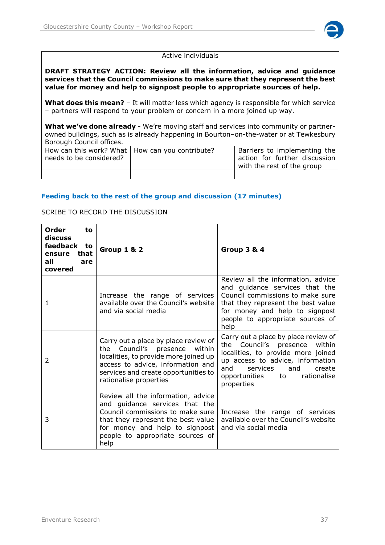

#### Active individuals

#### **DRAFT STRATEGY ACTION: Review all the information, advice and guidance services that the Council commissions to make sure that they represent the best value for money and help to signpost people to appropriate sources of help.**

**What does this mean?** – It will matter less which agency is responsible for which service – partners will respond to your problem or concern in a more joined up way.

**What we've done already** - We're moving staff and services into community or partnerowned buildings, such as is already happening in Bourton–on-the-water or at Tewkesbury Borough Council offices.

| How can this work? What   How can you contribute?<br>needs to be considered? | <sup>I</sup> Barriers to implementing the<br>action for further discussion<br>with the rest of the group |
|------------------------------------------------------------------------------|----------------------------------------------------------------------------------------------------------|
|                                                                              |                                                                                                          |

## **Feeding back to the rest of the group and discussion (17 minutes)**

#### SCRIBE TO RECORD THE DISCUSSION

| <b>Order</b><br>to<br>discuss<br>feedback<br>to<br>that<br>ensure<br>all<br>are<br>covered | <b>Group 1 &amp; 2</b>                                                                                                                                                                                                       | <b>Group 3 &amp; 4</b>                                                                                                                                                                                                                        |
|--------------------------------------------------------------------------------------------|------------------------------------------------------------------------------------------------------------------------------------------------------------------------------------------------------------------------------|-----------------------------------------------------------------------------------------------------------------------------------------------------------------------------------------------------------------------------------------------|
| 1                                                                                          | Increase the range of services<br>available over the Council's website<br>and via social media                                                                                                                               | Review all the information, advice<br>and guidance services that the<br>Council commissions to make sure<br>that they represent the best value<br>for money and help to signpost<br>people to appropriate sources of<br>help                  |
| $\mathcal{P}$                                                                              | Carry out a place by place review of<br>the Council's presence<br>within<br>localities, to provide more joined up<br>access to advice, information and<br>services and create opportunities to<br>rationalise properties     | Carry out a place by place review of<br>Council's presence<br>within<br>the<br>localities, to provide more joined<br>up access to advice, information<br>services<br>and<br>and<br>create<br>rationalise<br>opportunities<br>to<br>properties |
| 3                                                                                          | Review all the information, advice<br>and guidance services that the<br>Council commissions to make sure<br>that they represent the best value<br>for money and help to signpost<br>people to appropriate sources of<br>help | Increase the range of services<br>available over the Council's website<br>and via social media                                                                                                                                                |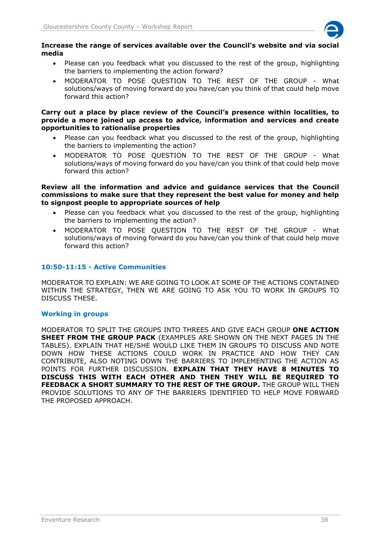

#### **Increase the range of services available over the Council's website and via social media**

- Please can you feedback what you discussed to the rest of the group, highlighting the barriers to implementing the action forward?
- MODERATOR TO POSE QUESTION TO THE REST OF THE GROUP What solutions/ways of moving forward do you have/can you think of that could help move forward this action?

#### **Carry out a place by place review of the Council's presence within localities, to provide a more joined up access to advice, information and services and create opportunities to rationalise properties**

- Please can you feedback what you discussed to the rest of the group, highlighting the barriers to implementing the action?
- MODERATOR TO POSE QUESTION TO THE REST OF THE GROUP What solutions/ways of moving forward do you have/can you think of that could help move forward this action?

#### **Review all the information and advice and guidance services that the Council commissions to make sure that they represent the best value for money and help to signpost people to appropriate sources of help**

- Please can you feedback what you discussed to the rest of the group, highlighting the barriers to implementing the action?
- MODERATOR TO POSE QUESTION TO THE REST OF THE GROUP What solutions/ways of moving forward do you have/can you think of that could help move forward this action?

# **10:50-11:15 - Active Communities**

MODERATOR TO EXPLAIN: WE ARE GOING TO LOOK AT SOME OF THE ACTIONS CONTAINED WITHIN THE STRATEGY, THEN WE ARE GOING TO ASK YOU TO WORK IN GROUPS TO DISCUSS THESE.

## **Working in groups**

MODERATOR TO SPLIT THE GROUPS INTO THREES AND GIVE EACH GROUP **ONE ACTION SHEET FROM THE GROUP PACK** (EXAMPLES ARE SHOWN ON THE NEXT PAGES IN THE TABLES). EXPLAIN THAT HE/SHE WOULD LIKE THEM IN GROUPS TO DISCUSS AND NOTE DOWN HOW THESE ACTIONS COULD WORK IN PRACTICE AND HOW THEY CAN CONTRIBUTE, ALSO NOTING DOWN THE BARRIERS TO IMPLEMENTING THE ACTION AS POINTS FOR FURTHER DISCUSSION. **EXPLAIN THAT THEY HAVE 8 MINUTES TO DISCUSS THIS WITH EACH OTHER AND THEN THEY WILL BE REQUIRED TO FEEDBACK A SHORT SUMMARY TO THE REST OF THE GROUP.** THE GROUP WILL THEN PROVIDE SOLUTIONS TO ANY OF THE BARRIERS IDENTIFIED TO HELP MOVE FORWARD THE PROPOSED APPROACH.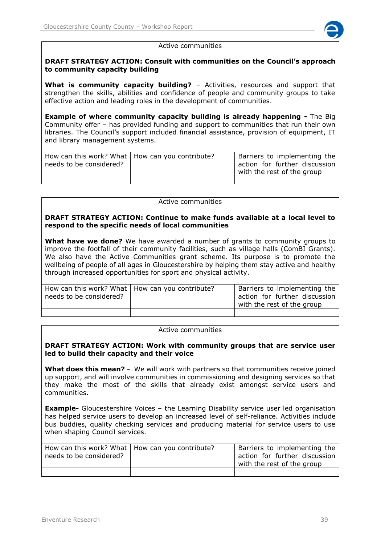

#### Active communities

#### **DRAFT STRATEGY ACTION: Consult with communities on the Council's approach to community capacity building**

**What is community capacity building?** – Activities, resources and support that strengthen the skills, abilities and confidence of people and community groups to take effective action and leading roles in the development of communities.

**Example of where community capacity building is already happening -** The Big Community offer – has provided funding and support to communities that run their own libraries. The Council's support included financial assistance, provision of equipment, IT and library management systems.

| How can this work? What   How can you contribute?<br>needs to be considered? | Barriers to implementing the<br>action for further discussion<br>with the rest of the group |
|------------------------------------------------------------------------------|---------------------------------------------------------------------------------------------|
|                                                                              |                                                                                             |

#### Active communities

#### **DRAFT STRATEGY ACTION: Continue to make funds available at a local level to respond to the specific needs of local communities**

**What have we done?** We have awarded a number of grants to community groups to improve the footfall of their community facilities, such as village halls (ComBI Grants). We also have the Active Communities grant scheme. Its purpose is to promote the wellbeing of people of all ages in Gloucestershire by helping them stay active and healthy through increased opportunities for sport and physical activity.

| needs to be considered? | How can this work? What   How can you contribute? |  |
|-------------------------|---------------------------------------------------|--|
|                         |                                                   |  |

#### Active communities

#### **DRAFT STRATEGY ACTION: Work with community groups that are service user led to build their capacity and their voice**

**What does this mean? -** We will work with partners so that communities receive joined up support, and will involve communities in commissioning and designing services so that they make the most of the skills that already exist amongst service users and communities.

**Example-** Gloucestershire Voices – the Learning Disability service user led organisation has helped service users to develop an increased level of self-reliance. Activities include bus buddies, quality checking services and producing material for service users to use when shaping Council services.

| How can this work? What   How can you contribute?<br>needs to be considered? | Barriers to implementing the<br>action for further discussion<br>with the rest of the group |  |
|------------------------------------------------------------------------------|---------------------------------------------------------------------------------------------|--|
|                                                                              |                                                                                             |  |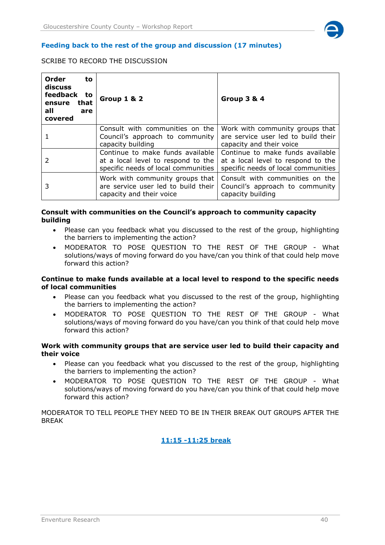

# SCRIBE TO RECORD THE DISCUSSION

| Order<br>to<br>discuss<br>feedback to<br>ensure<br>that<br>all<br>are<br>covered | <b>Group 1 &amp; 2</b>                                                                                        | <b>Group 3 &amp; 4</b>                                                                                        |
|----------------------------------------------------------------------------------|---------------------------------------------------------------------------------------------------------------|---------------------------------------------------------------------------------------------------------------|
|                                                                                  | Consult with communities on the<br>Council's approach to community<br>capacity building                       | Work with community groups that<br>are service user led to build their<br>capacity and their voice            |
|                                                                                  | Continue to make funds available<br>at a local level to respond to the<br>specific needs of local communities | Continue to make funds available<br>at a local level to respond to the<br>specific needs of local communities |
| 3                                                                                | Work with community groups that<br>are service user led to build their<br>capacity and their voice            | Consult with communities on the<br>Council's approach to community<br>capacity building                       |

#### **Consult with communities on the Council's approach to community capacity building**

- Please can you feedback what you discussed to the rest of the group, highlighting the barriers to implementing the action?
- MODERATOR TO POSE QUESTION TO THE REST OF THE GROUP What solutions/ways of moving forward do you have/can you think of that could help move forward this action?

#### **Continue to make funds available at a local level to respond to the specific needs of local communities**

- Please can you feedback what you discussed to the rest of the group, highlighting the barriers to implementing the action?
- MODERATOR TO POSE QUESTION TO THE REST OF THE GROUP What solutions/ways of moving forward do you have/can you think of that could help move forward this action?

#### **Work with community groups that are service user led to build their capacity and their voice**

- Please can you feedback what you discussed to the rest of the group, highlighting the barriers to implementing the action?
- MODERATOR TO POSE QUESTION TO THE REST OF THE GROUP What solutions/ways of moving forward do you have/can you think of that could help move forward this action?

MODERATOR TO TELL PEOPLE THEY NEED TO BE IN THEIR BREAK OUT GROUPS AFTER THE BREAK

# **11:15 -11:25 break**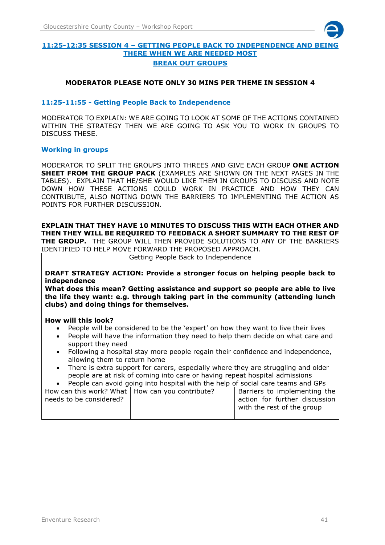

## **11:25-12:35 SESSION 4 – GETTING PEOPLE BACK TO INDEPENDENCE AND BEING THERE WHEN WE ARE NEEDED MOST BREAK OUT GROUPS**

#### **MODERATOR PLEASE NOTE ONLY 30 MINS PER THEME IN SESSION 4**

#### **11:25-11:55 - Getting People Back to Independence**

MODERATOR TO EXPLAIN: WE ARE GOING TO LOOK AT SOME OF THE ACTIONS CONTAINED WITHIN THE STRATEGY THEN WE ARE GOING TO ASK YOU TO WORK IN GROUPS TO DISCUSS THESE.

#### **Working in groups**

MODERATOR TO SPLIT THE GROUPS INTO THREES AND GIVE EACH GROUP **ONE ACTION SHEET FROM THE GROUP PACK** (EXAMPLES ARE SHOWN ON THE NEXT PAGES IN THE TABLES). EXPLAIN THAT HE/SHE WOULD LIKE THEM IN GROUPS TO DISCUSS AND NOTE DOWN HOW THESE ACTIONS COULD WORK IN PRACTICE AND HOW THEY CAN CONTRIBUTE, ALSO NOTING DOWN THE BARRIERS TO IMPLEMENTING THE ACTION AS POINTS FOR FURTHER DISCUSSION.

# **EXPLAIN THAT THEY HAVE 10 MINUTES TO DISCUSS THIS WITH EACH OTHER AND THEN THEY WILL BE REQUIRED TO FEEDBACK A SHORT SUMMARY TO THE REST OF**

**THE GROUP.** THE GROUP WILL THEN PROVIDE SOLUTIONS TO ANY OF THE BARRIERS IDENTIFIED TO HELP MOVE FORWARD THE PROPOSED APPROACH.

Getting People Back to Independence

**DRAFT STRATEGY ACTION: Provide a stronger focus on helping people back to independence** 

**What does this mean? Getting assistance and support so people are able to live the life they want: e.g. through taking part in the community (attending lunch clubs) and doing things for themselves.** 

#### **How will this look?**

- People will be considered to be the 'expert' on how they want to live their lives
- People will have the information they need to help them decide on what care and support they need
- Following a hospital stay more people regain their confidence and independence, allowing them to return home
- There is extra support for carers, especially where they are struggling and older people are at risk of coming into care or having repeat hospital admissions

| People can avoid going into hospital with the help of social care teams and GPs                                                                                             |  |  |  |  |
|-----------------------------------------------------------------------------------------------------------------------------------------------------------------------------|--|--|--|--|
| How can this work? What   How can you contribute?<br>Barriers to implementing the<br>action for further discussion<br>needs to be considered?<br>with the rest of the group |  |  |  |  |
|                                                                                                                                                                             |  |  |  |  |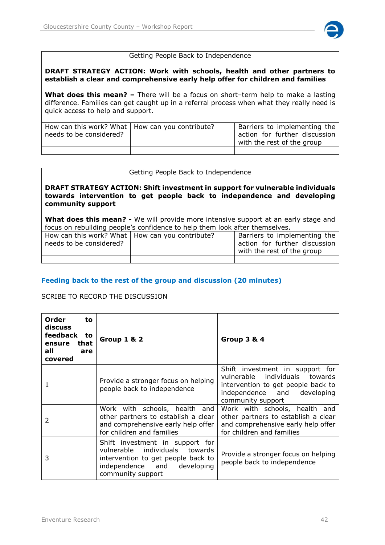

#### Getting People Back to Independence

#### **DRAFT STRATEGY ACTION: Work with schools, health and other partners to establish a clear and comprehensive early help offer for children and families**

**What does this mean? –** There will be a focus on short–term help to make a lasting difference. Families can get caught up in a referral process when what they really need is quick access to help and support.

| How can this work? What   How can you contribute?<br>needs to be considered? | Barriers to implementing the<br>action for further discussion<br>with the rest of the group |
|------------------------------------------------------------------------------|---------------------------------------------------------------------------------------------|
|                                                                              |                                                                                             |

#### Getting People Back to Independence

#### **DRAFT STRATEGY ACTION: Shift investment in support for vulnerable individuals towards intervention to get people back to independence and developing community support**

**What does this mean? -** We will provide more intensive support at an early stage and focus on rebuilding people's confidence to help them look after themselves.

| How can this work? What   How can you contribute? | Barriers to implementing the  |  |
|---------------------------------------------------|-------------------------------|--|
| needs to be considered?                           | action for further discussion |  |
|                                                   | with the rest of the group    |  |
|                                                   |                               |  |

## **Feeding back to the rest of the group and discussion (20 minutes)**

#### SCRIBE TO RECORD THE DISCUSSION

| <b>Order</b><br>to<br>discuss<br>feedback to<br>that<br>ensure<br>all<br>are<br>covered | <b>Group 1 &amp; 2</b>                                                                                                                                         | <b>Group 3 &amp; 4</b>                                                                                                                                      |
|-----------------------------------------------------------------------------------------|----------------------------------------------------------------------------------------------------------------------------------------------------------------|-------------------------------------------------------------------------------------------------------------------------------------------------------------|
| 1                                                                                       | Provide a stronger focus on helping<br>people back to independence                                                                                             | Shift investment in support for<br>vulnerable individuals towards<br>intervention to get people back to<br>independence and developing<br>community support |
| $\mathcal{P}$                                                                           | Work with schools, health<br>and<br>other partners to establish a clear<br>and comprehensive early help offer<br>for children and families                     | Work with schools, health and<br>other partners to establish a clear<br>and comprehensive early help offer<br>for children and families                     |
| 3                                                                                       | Shift investment in support for<br>individuals towards<br>vulnerable<br>intervention to get people back to<br>independence and developing<br>community support | Provide a stronger focus on helping<br>people back to independence                                                                                          |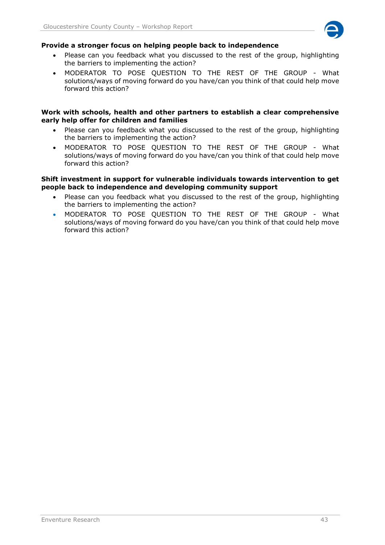

## **Provide a stronger focus on helping people back to independence**

- Please can you feedback what you discussed to the rest of the group, highlighting the barriers to implementing the action?
- MODERATOR TO POSE QUESTION TO THE REST OF THE GROUP What solutions/ways of moving forward do you have/can you think of that could help move forward this action?

#### **Work with schools, health and other partners to establish a clear comprehensive early help offer for children and families**

- Please can you feedback what you discussed to the rest of the group, highlighting the barriers to implementing the action?
- MODERATOR TO POSE QUESTION TO THE REST OF THE GROUP What solutions/ways of moving forward do you have/can you think of that could help move forward this action?

#### **Shift investment in support for vulnerable individuals towards intervention to get people back to independence and developing community support**

- Please can you feedback what you discussed to the rest of the group, highlighting the barriers to implementing the action?
- MODERATOR TO POSE QUESTION TO THE REST OF THE GROUP What solutions/ways of moving forward do you have/can you think of that could help move forward this action?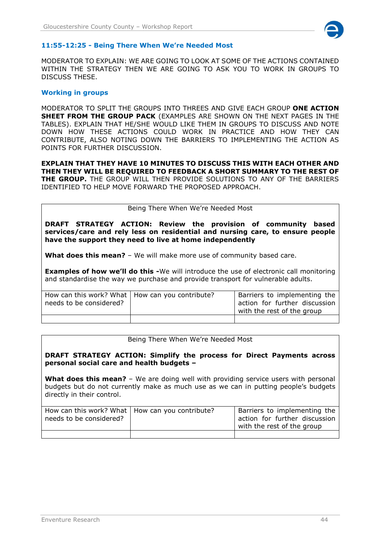

#### **11:55-12:25 - Being There When We're Needed Most**

MODERATOR TO EXPLAIN: WE ARE GOING TO LOOK AT SOME OF THE ACTIONS CONTAINED WITHIN THE STRATEGY THEN WE ARE GOING TO ASK YOU TO WORK IN GROUPS TO DISCUSS THESE.

#### **Working in groups**

MODERATOR TO SPLIT THE GROUPS INTO THREES AND GIVE EACH GROUP **ONE ACTION SHEET FROM THE GROUP PACK** (EXAMPLES ARE SHOWN ON THE NEXT PAGES IN THE TABLES). EXPLAIN THAT HE/SHE WOULD LIKE THEM IN GROUPS TO DISCUSS AND NOTE DOWN HOW THESE ACTIONS COULD WORK IN PRACTICE AND HOW THEY CAN CONTRIBUTE, ALSO NOTING DOWN THE BARRIERS TO IMPLEMENTING THE ACTION AS POINTS FOR FURTHER DISCUSSION.

**EXPLAIN THAT THEY HAVE 10 MINUTES TO DISCUSS THIS WITH EACH OTHER AND THEN THEY WILL BE REQUIRED TO FEEDBACK A SHORT SUMMARY TO THE REST OF THE GROUP.** THE GROUP WILL THEN PROVIDE SOLUTIONS TO ANY OF THE BARRIERS IDENTIFIED TO HELP MOVE FORWARD THE PROPOSED APPROACH.

#### Being There When We're Needed Most

**DRAFT STRATEGY ACTION: Review the provision of community based services/care and rely less on residential and nursing care, to ensure people have the support they need to live at home independently**

**What does this mean?** – We will make more use of community based care.

**Examples of how we'll do this -**We will introduce the use of electronic call monitoring and standardise the way we purchase and provide transport for vulnerable adults.

| How can this work? What   How can you contribute?<br>needs to be considered? | Barriers to implementing the<br>action for further discussion<br>with the rest of the group |
|------------------------------------------------------------------------------|---------------------------------------------------------------------------------------------|
|                                                                              |                                                                                             |

Being There When We're Needed Most

#### **DRAFT STRATEGY ACTION: Simplify the process for Direct Payments across personal social care and health budgets –**

**What does this mean?** - We are doing well with providing service users with personal budgets but do not currently make as much use as we can in putting people's budgets directly in their control.

| How can this work? What   How can you contribute?<br>needs to be considered? |  | Barriers to implementing the<br>action for further discussion<br>with the rest of the group |  |
|------------------------------------------------------------------------------|--|---------------------------------------------------------------------------------------------|--|
|                                                                              |  |                                                                                             |  |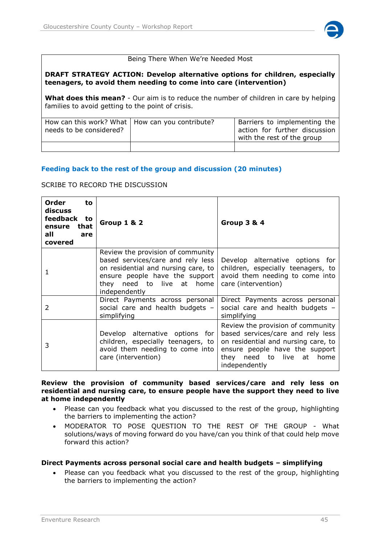

#### Being There When We're Needed Most

#### **DRAFT STRATEGY ACTION: Develop alternative options for children, especially teenagers, to avoid them needing to come into care (intervention)**

**What does this mean?** - Our aim is to reduce the number of children in care by helping families to avoid getting to the point of crisis.

| How can this work? What   How can you contribute?<br>needs to be considered? | Barriers to implementing the<br>action for further discussion<br>with the rest of the group |
|------------------------------------------------------------------------------|---------------------------------------------------------------------------------------------|
|                                                                              |                                                                                             |

## **Feeding back to the rest of the group and discussion (20 minutes)**

SCRIBE TO RECORD THE DISCUSSION

| <b>Order</b><br>to<br>discuss<br>feedback to<br>that<br>ensure<br>all<br>are<br>covered | Group 1 & 2                                                                                                                                                                                   | <b>Group 3 &amp; 4</b>                                                                                                                                                                        |
|-----------------------------------------------------------------------------------------|-----------------------------------------------------------------------------------------------------------------------------------------------------------------------------------------------|-----------------------------------------------------------------------------------------------------------------------------------------------------------------------------------------------|
|                                                                                         | Review the provision of community<br>based services/care and rely less<br>on residential and nursing care, to<br>ensure people have the support<br>they need to live at home<br>independently | Develop alternative options for<br>children, especially teenagers, to<br>avoid them needing to come into<br>care (intervention)                                                               |
| 2                                                                                       | Direct Payments across personal<br>social care and health budgets -<br>simplifying                                                                                                            | Direct Payments across personal<br>social care and health budgets -<br>simplifying                                                                                                            |
| 3                                                                                       | Develop alternative options for<br>children, especially teenagers, to<br>avoid them needing to come into<br>care (intervention)                                                               | Review the provision of community<br>based services/care and rely less<br>on residential and nursing care, to<br>ensure people have the support<br>they need to live at home<br>independently |

**Review the provision of community based services/care and rely less on residential and nursing care, to ensure people have the support they need to live at home independently**

- Please can you feedback what you discussed to the rest of the group, highlighting the barriers to implementing the action?
- MODERATOR TO POSE QUESTION TO THE REST OF THE GROUP What solutions/ways of moving forward do you have/can you think of that could help move forward this action?

## **Direct Payments across personal social care and health budgets – simplifying**

 Please can you feedback what you discussed to the rest of the group, highlighting the barriers to implementing the action?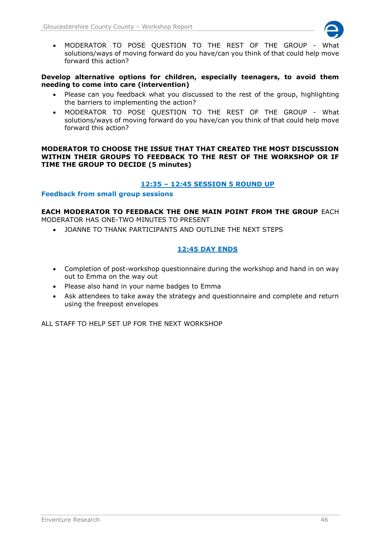

 MODERATOR TO POSE QUESTION TO THE REST OF THE GROUP - What solutions/ways of moving forward do you have/can you think of that could help move forward this action?

## **Develop alternative options for children, especially teenagers, to avoid them needing to come into care (intervention)**

- Please can you feedback what you discussed to the rest of the group, highlighting the barriers to implementing the action?
- MODERATOR TO POSE QUESTION TO THE REST OF THE GROUP What solutions/ways of moving forward do you have/can you think of that could help move forward this action?

#### **MODERATOR TO CHOOSE THE ISSUE THAT THAT CREATED THE MOST DISCUSSION WITHIN THEIR GROUPS TO FEEDBACK TO THE REST OF THE WORKSHOP OR IF TIME THE GROUP TO DECIDE (5 minutes)**

# **12:35 – 12:45 SESSION 5 ROUND UP**

## **Feedback from small group sessions**

#### **EACH MODERATOR TO FEEDBACK THE ONE MAIN POINT FROM THE GROUP** EACH MODERATOR HAS ONE-TWO MINUTES TO PRESENT

JOANNE TO THANK PARTICIPANTS AND OUTLINE THE NEXT STEPS

# **12:45 DAY ENDS**

- Completion of post-workshop questionnaire during the workshop and hand in on way out to Emma on the way out
- Please also hand in your name badges to Emma
- Ask attendees to take away the strategy and questionnaire and complete and return using the freepost envelopes

ALL STAFF TO HELP SET UP FOR THE NEXT WORKSHOP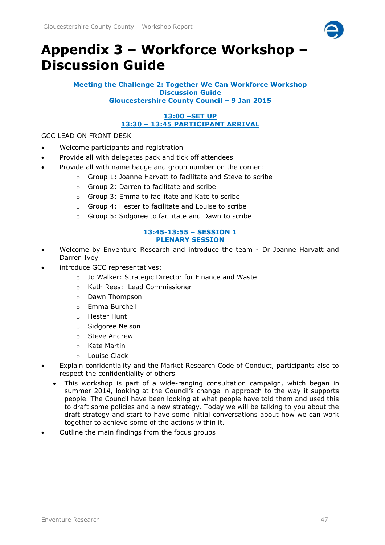

# <span id="page-46-0"></span>**Appendix 3 – Workforce Workshop – Discussion Guide**

**Meeting the Challenge 2: Together We Can Workforce Workshop Discussion Guide Gloucestershire County Council – 9 Jan 2015**

# **13:00 –SET UP 13:30 – 13:45 PARTICIPANT ARRIVAL**

GCC LEAD ON FRONT DESK

- Welcome participants and registration
- Provide all with delegates pack and tick off attendees
	- Provide all with name badge and group number on the corner:
		- o Group 1: Joanne Harvatt to facilitate and Steve to scribe
		- o Group 2: Darren to facilitate and scribe
		- o Group 3: Emma to facilitate and Kate to scribe
		- o Group 4: Hester to facilitate and Louise to scribe
		- o Group 5: Sidgoree to facilitate and Dawn to scribe

#### **13:45-13:55 – SESSION 1 PLENARY SESSION**

- Welcome by Enventure Research and introduce the team Dr Joanne Harvatt and Darren Ivey
- introduce GCC representatives:
	- o Jo Walker: Strategic Director for Finance and Waste
	- o Kath Rees: Lead Commissioner
	- o Dawn Thompson
	- o Emma Burchell
	- o Hester Hunt
	- o Sidgoree Nelson
	- o Steve Andrew
	- o Kate Martin
	- o Louise Clack
- Explain confidentiality and the Market Research Code of Conduct, participants also to respect the confidentiality of others
	- This workshop is part of a wide-ranging consultation campaign, which began in summer 2014, looking at the Council's change in approach to the way it supports people. The Council have been looking at what people have told them and used this to draft some policies and a new strategy. Today we will be talking to you about the draft strategy and start to have some initial conversations about how we can work together to achieve some of the actions within it.
- Outline the main findings from the focus groups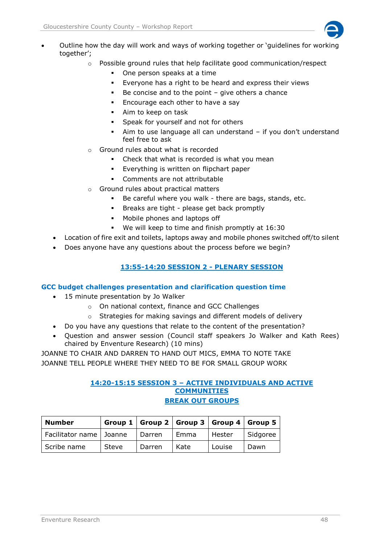

- Outline how the day will work and ways of working together or 'guidelines for working together';
	- $\circ$  Possible ground rules that help facilitate good communication/respect
		- One person speaks at a time
		- Everyone has a right to be heard and express their views
		- $\blacksquare$  Be concise and to the point give others a chance
		- **Encourage each other to have a say**
		- Aim to keep on task
		- Speak for yourself and not for others
		- Aim to use language all can understand if you don't understand feel free to ask
	- o Ground rules about what is recorded
		- Check that what is recorded is what you mean
		- **Everything is written on flipchart paper**
		- Comments are not attributable
	- o Ground rules about practical matters
		- Be careful where you walk there are bags, stands, etc.
		- Breaks are tight please get back promptly
		- Mobile phones and laptops off
		- We will keep to time and finish promptly at 16:30
	- Location of fire exit and toilets, laptops away and mobile phones switched off/to silent
	- Does anyone have any questions about the process before we begin?

# **13:55-14:20 SESSION 2 - PLENARY SESSION**

## **GCC budget challenges presentation and clarification question time**

- 15 minute presentation by Jo Walker
	- o On national context, finance and GCC Challenges
	- o Strategies for making savings and different models of delivery
	- Do you have any questions that relate to the content of the presentation?
- Question and answer session (Council staff speakers Jo Walker and Kath Rees) chaired by Enventure Research) (10 mins)

JOANNE TO CHAIR AND DARREN TO HAND OUT MICS, EMMA TO NOTE TAKE JOANNE TELL PEOPLE WHERE THEY NEED TO BE FOR SMALL GROUP WORK

# **14:20-15:15 SESSION 3 – ACTIVE INDIVIDUALS AND ACTIVE COMMUNITIES BREAK OUT GROUPS**

| <b>Number</b>             |       |        |      | Group 1   Group 2   Group 3   Group 4   Group 5 |          |
|---------------------------|-------|--------|------|-------------------------------------------------|----------|
| Facilitator name   Joanne |       | Darren | Emma | Hester                                          | Sidgoree |
| Scribe name               | Steve | Darren | Kate | Louise                                          | Dawn     |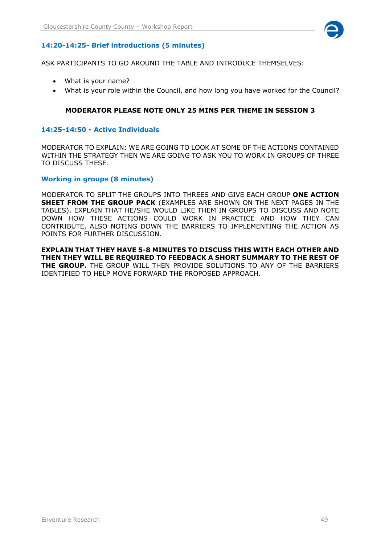

# **14:20-14:25- Brief introductions (5 minutes)**

ASK PARTICIPANTS TO GO AROUND THE TABLE AND INTRODUCE THEMSELVES:

- What is your name?
- What is your role within the Council, and how long you have worked for the Council?

## **MODERATOR PLEASE NOTE ONLY 25 MINS PER THEME IN SESSION 3**

#### **14:25-14:50 - Active Individuals**

MODERATOR TO EXPLAIN: WE ARE GOING TO LOOK AT SOME OF THE ACTIONS CONTAINED WITHIN THE STRATEGY THEN WE ARE GOING TO ASK YOU TO WORK IN GROUPS OF THREE TO DISCUSS THESE.

#### **Working in groups (8 minutes)**

MODERATOR TO SPLIT THE GROUPS INTO THREES AND GIVE EACH GROUP **ONE ACTION SHEET FROM THE GROUP PACK** (EXAMPLES ARE SHOWN ON THE NEXT PAGES IN THE TABLES). EXPLAIN THAT HE/SHE WOULD LIKE THEM IN GROUPS TO DISCUSS AND NOTE DOWN HOW THESE ACTIONS COULD WORK IN PRACTICE AND HOW THEY CAN CONTRIBUTE, ALSO NOTING DOWN THE BARRIERS TO IMPLEMENTING THE ACTION AS POINTS FOR FURTHER DISCUSSION.

**EXPLAIN THAT THEY HAVE 5-8 MINUTES TO DISCUSS THIS WITH EACH OTHER AND THEN THEY WILL BE REQUIRED TO FEEDBACK A SHORT SUMMARY TO THE REST OF THE GROUP.** THE GROUP WILL THEN PROVIDE SOLUTIONS TO ANY OF THE BARRIERS IDENTIFIED TO HELP MOVE FORWARD THE PROPOSED APPROACH.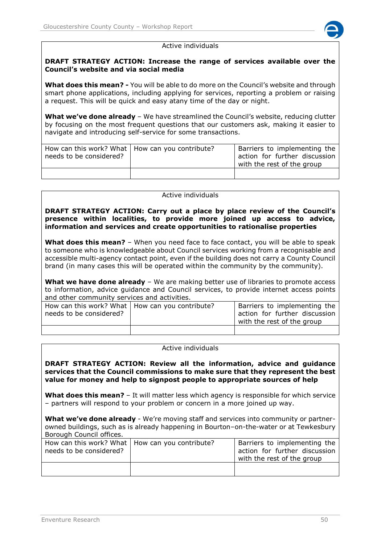

#### Active individuals

#### **DRAFT STRATEGY ACTION: Increase the range of services available over the Council's website and via social media**

**What does this mean? -** You will be able to do more on the Council's website and through smart phone applications, including applying for services, reporting a problem or raising a request. This will be quick and easy atany time of the day or night.

**What we've done already** – We have streamlined the Council's website, reducing clutter by focusing on the most frequent questions that our customers ask, making it easier to navigate and introducing self-service for some transactions.

| How can this work? What   How can you contribute?<br>needs to be considered? | Barriers to implementing the<br>action for further discussion<br>with the rest of the group |
|------------------------------------------------------------------------------|---------------------------------------------------------------------------------------------|
|                                                                              |                                                                                             |

#### Active individuals

**DRAFT STRATEGY ACTION: Carry out a place by place review of the Council's presence within localities, to provide more joined up access to advice, information and services and create opportunities to rationalise properties**

**What does this mean?** – When you need face to face contact, you will be able to speak to someone who is knowledgeable about Council services working from a recognisable and accessible multi-agency contact point, even if the building does not carry a County Council brand (in many cases this will be operated within the community by the community).

**What we have done already** – We are making better use of libraries to promote access to information, advice guidance and Council services, to provide internet access points and other community services and activities.

| How can this work? What   How can you contribute?<br>needs to be considered? | Barriers to implementing the<br>action for further discussion<br>with the rest of the group |
|------------------------------------------------------------------------------|---------------------------------------------------------------------------------------------|
|                                                                              |                                                                                             |

#### Active individuals

**DRAFT STRATEGY ACTION: Review all the information, advice and guidance services that the Council commissions to make sure that they represent the best value for money and help to signpost people to appropriate sources of help**

**What does this mean?** – It will matter less which agency is responsible for which service – partners will respond to your problem or concern in a more joined up way.

**What we've done already** - We're moving staff and services into community or partnerowned buildings, such as is already happening in Bourton–on-the-water or at Tewkesbury Borough Council offices.

| How can this work? What   How can you contribute?<br>needs to be considered? | Barriers to implementing the<br>action for further discussion<br>with the rest of the group |
|------------------------------------------------------------------------------|---------------------------------------------------------------------------------------------|
|                                                                              |                                                                                             |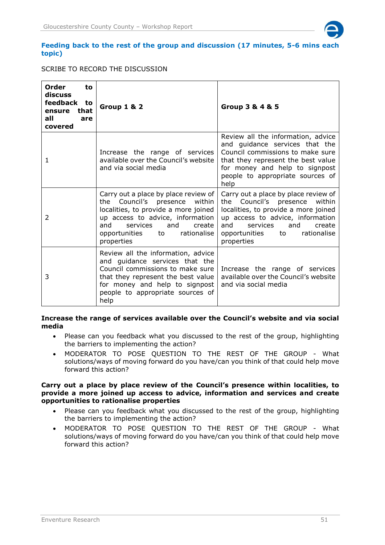

#### **Feeding back to the rest of the group and discussion (17 minutes, 5-6 mins each topic)**

## SCRIBE TO RECORD THE DISCUSSION

| Order<br>to<br>discuss<br>feedback<br>to<br>that<br>ensure<br>all<br>are<br>covered | <b>Group 1 &amp; 2</b>                                                                                                                                                                                                                             | Group 3 & 4 & 5                                                                                                                                                                                                                                    |
|-------------------------------------------------------------------------------------|----------------------------------------------------------------------------------------------------------------------------------------------------------------------------------------------------------------------------------------------------|----------------------------------------------------------------------------------------------------------------------------------------------------------------------------------------------------------------------------------------------------|
| 1                                                                                   | Increase the range of services<br>available over the Council's website<br>and via social media                                                                                                                                                     | Review all the information, advice<br>and guidance services that the<br>Council commissions to make sure<br>that they represent the best value<br>for money and help to signpost<br>people to appropriate sources of<br>help                       |
| 2                                                                                   | Carry out a place by place review of<br>Council's<br>within<br>the<br>presence<br>localities, to provide a more joined<br>up access to advice, information<br>and<br>services<br>and<br>create<br>rationalise<br>opportunities<br>to<br>properties | Carry out a place by place review of<br>Council's<br>within<br>presence<br>the<br>localities, to provide a more joined<br>up access to advice, information<br>and<br>services<br>and<br>create<br>rationalise<br>opportunities<br>to<br>properties |
| 3                                                                                   | Review all the information, advice<br>and quidance services that the<br>Council commissions to make sure<br>that they represent the best value<br>for money and help to signpost<br>people to appropriate sources of<br>help                       | Increase the range of services<br>available over the Council's website<br>and via social media                                                                                                                                                     |

#### **Increase the range of services available over the Council's website and via social media**

- Please can you feedback what you discussed to the rest of the group, highlighting the barriers to implementing the action?
- MODERATOR TO POSE QUESTION TO THE REST OF THE GROUP What solutions/ways of moving forward do you have/can you think of that could help move forward this action?

#### **Carry out a place by place review of the Council's presence within localities, to provide a more joined up access to advice, information and services and create opportunities to rationalise properties**

- Please can you feedback what you discussed to the rest of the group, highlighting the barriers to implementing the action?
- MODERATOR TO POSE QUESTION TO THE REST OF THE GROUP What solutions/ways of moving forward do you have/can you think of that could help move forward this action?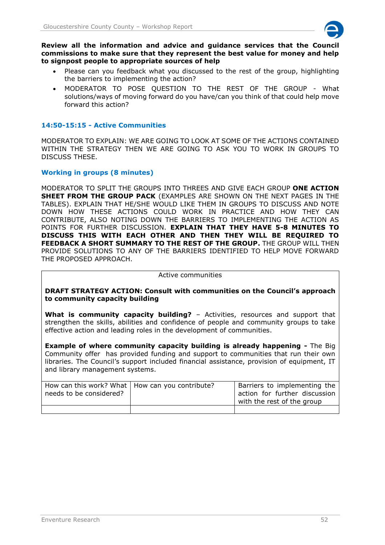

**Review all the information and advice and guidance services that the Council commissions to make sure that they represent the best value for money and help to signpost people to appropriate sources of help**

- Please can you feedback what you discussed to the rest of the group, highlighting the barriers to implementing the action?
- MODERATOR TO POSE QUESTION TO THE REST OF THE GROUP What solutions/ways of moving forward do you have/can you think of that could help move forward this action?

# **14:50-15:15 - Active Communities**

MODERATOR TO EXPLAIN: WE ARE GOING TO LOOK AT SOME OF THE ACTIONS CONTAINED WITHIN THE STRATEGY THEN WE ARE GOING TO ASK YOU TO WORK IN GROUPS TO DISCUSS THESE.

# **Working in groups (8 minutes)**

MODERATOR TO SPLIT THE GROUPS INTO THREES AND GIVE EACH GROUP **ONE ACTION SHEET FROM THE GROUP PACK** (EXAMPLES ARE SHOWN ON THE NEXT PAGES IN THE TABLES). EXPLAIN THAT HE/SHE WOULD LIKE THEM IN GROUPS TO DISCUSS AND NOTE DOWN HOW THESE ACTIONS COULD WORK IN PRACTICE AND HOW THEY CAN CONTRIBUTE, ALSO NOTING DOWN THE BARRIERS TO IMPLEMENTING THE ACTION AS POINTS FOR FURTHER DISCUSSION. **EXPLAIN THAT THEY HAVE 5-8 MINUTES TO DISCUSS THIS WITH EACH OTHER AND THEN THEY WILL BE REQUIRED TO FEEDBACK A SHORT SUMMARY TO THE REST OF THE GROUP.** THE GROUP WILL THEN PROVIDE SOLUTIONS TO ANY OF THE BARRIERS IDENTIFIED TO HELP MOVE FORWARD THE PROPOSED APPROACH.

#### Active communities

**DRAFT STRATEGY ACTION: Consult with communities on the Council's approach to community capacity building** 

**What is community capacity building?** – Activities, resources and support that strengthen the skills, abilities and confidence of people and community groups to take effective action and leading roles in the development of communities.

**Example of where community capacity building is already happening -** The Big Community offer has provided funding and support to communities that run their own libraries. The Council's support included financial assistance, provision of equipment, IT and library management systems.

| How can this work? What   How can you contribute?<br>needs to be considered? | Barriers to implementing the<br>action for further discussion<br>with the rest of the group |
|------------------------------------------------------------------------------|---------------------------------------------------------------------------------------------|
|                                                                              |                                                                                             |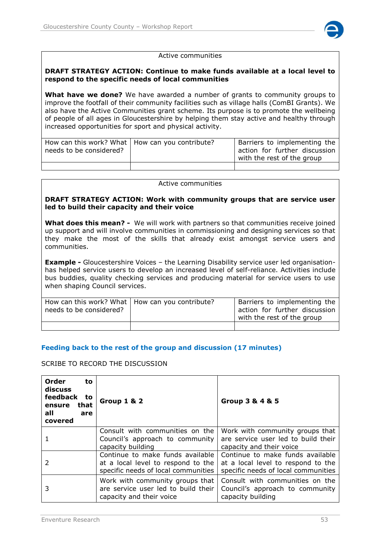

#### Active communities

#### **DRAFT STRATEGY ACTION: Continue to make funds available at a local level to respond to the specific needs of local communities**

**What have we done?** We have awarded a number of grants to community groups to improve the footfall of their community facilities such as village halls (ComBI Grants). We also have the Active Communities grant scheme. Its purpose is to promote the wellbeing of people of all ages in Gloucestershire by helping them stay active and healthy through increased opportunities for sport and physical activity.

| How can this work? What   How can you contribute?<br>needs to be considered? | <sup>I</sup> Barriers to implementing the<br>action for further discussion<br>with the rest of the group |
|------------------------------------------------------------------------------|----------------------------------------------------------------------------------------------------------|
|                                                                              |                                                                                                          |

#### Active communities

#### **DRAFT STRATEGY ACTION: Work with community groups that are service user led to build their capacity and their voice**

**What does this mean? -** We will work with partners so that communities receive joined up support and will involve communities in commissioning and designing services so that they make the most of the skills that already exist amongst service users and communities.

**Example -** Gloucestershire Voices – the Learning Disability service user led organisationhas helped service users to develop an increased level of self-reliance. Activities include bus buddies, quality checking services and producing material for service users to use when shaping Council services.

| How can this work? What   How can you contribute?<br>needs to be considered? | <sup>I</sup> Barriers to implementing the<br>action for further discussion<br>with the rest of the group |
|------------------------------------------------------------------------------|----------------------------------------------------------------------------------------------------------|
|                                                                              |                                                                                                          |

## **Feeding back to the rest of the group and discussion (17 minutes)**

## SCRIBE TO RECORD THE DISCUSSION

| Order<br>to<br>discuss<br>feedback<br>to<br>that<br>ensure<br>all<br>are<br>covered | <b>Group 1 &amp; 2</b>                                                                                        | Group 3 & 4 & 5                                                                                               |
|-------------------------------------------------------------------------------------|---------------------------------------------------------------------------------------------------------------|---------------------------------------------------------------------------------------------------------------|
|                                                                                     | Consult with communities on the<br>Council's approach to community<br>capacity building                       | Work with community groups that<br>are service user led to build their<br>capacity and their voice            |
|                                                                                     | Continue to make funds available<br>at a local level to respond to the<br>specific needs of local communities | Continue to make funds available<br>at a local level to respond to the<br>specific needs of local communities |
| 3                                                                                   | Work with community groups that<br>are service user led to build their<br>capacity and their voice            | Consult with communities on the<br>Council's approach to community<br>capacity building                       |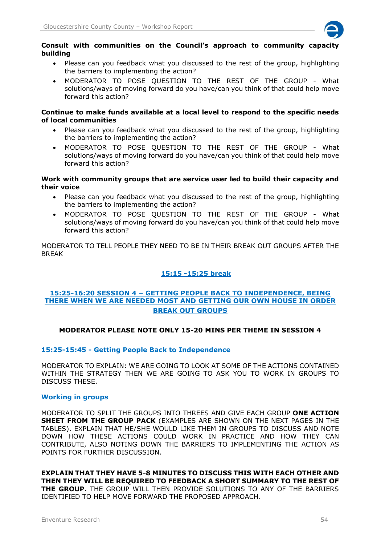

#### **Consult with communities on the Council's approach to community capacity building**

- Please can you feedback what you discussed to the rest of the group, highlighting the barriers to implementing the action?
- MODERATOR TO POSE QUESTION TO THE REST OF THE GROUP What solutions/ways of moving forward do you have/can you think of that could help move forward this action?

#### **Continue to make funds available at a local level to respond to the specific needs of local communities**

- Please can you feedback what you discussed to the rest of the group, highlighting the barriers to implementing the action?
- MODERATOR TO POSE QUESTION TO THE REST OF THE GROUP What solutions/ways of moving forward do you have/can you think of that could help move forward this action?

## **Work with community groups that are service user led to build their capacity and their voice**

- Please can you feedback what you discussed to the rest of the group, highlighting the barriers to implementing the action?
- MODERATOR TO POSE QUESTION TO THE REST OF THE GROUP What solutions/ways of moving forward do you have/can you think of that could help move forward this action?

MODERATOR TO TELL PEOPLE THEY NEED TO BE IN THEIR BREAK OUT GROUPS AFTER THE BREAK

# **15:15 -15:25 break**

# **15:25-16:20 SESSION 4 – GETTING PEOPLE BACK TO INDEPENDENCE, BEING THERE WHEN WE ARE NEEDED MOST AND GETTING OUR OWN HOUSE IN ORDER BREAK OUT GROUPS**

# **MODERATOR PLEASE NOTE ONLY 15-20 MINS PER THEME IN SESSION 4**

## **15:25-15:45 - Getting People Back to Independence**

MODERATOR TO EXPLAIN: WE ARE GOING TO LOOK AT SOME OF THE ACTIONS CONTAINED WITHIN THE STRATEGY THEN WE ARE GOING TO ASK YOU TO WORK IN GROUPS TO DISCUSS THESE.

## **Working in groups**

MODERATOR TO SPLIT THE GROUPS INTO THREES AND GIVE EACH GROUP **ONE ACTION SHEET FROM THE GROUP PACK** (EXAMPLES ARE SHOWN ON THE NEXT PAGES IN THE TABLES). EXPLAIN THAT HE/SHE WOULD LIKE THEM IN GROUPS TO DISCUSS AND NOTE DOWN HOW THESE ACTIONS COULD WORK IN PRACTICE AND HOW THEY CAN CONTRIBUTE, ALSO NOTING DOWN THE BARRIERS TO IMPLEMENTING THE ACTION AS POINTS FOR FURTHER DISCUSSION.

**EXPLAIN THAT THEY HAVE 5-8 MINUTES TO DISCUSS THIS WITH EACH OTHER AND THEN THEY WILL BE REQUIRED TO FEEDBACK A SHORT SUMMARY TO THE REST OF THE GROUP.** THE GROUP WILL THEN PROVIDE SOLUTIONS TO ANY OF THE BARRIERS IDENTIFIED TO HELP MOVE FORWARD THE PROPOSED APPROACH.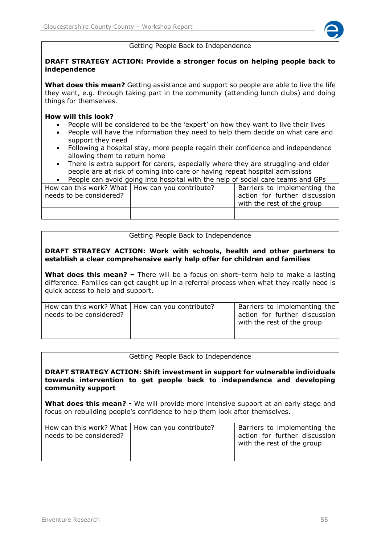#### Getting People Back to Independence

#### **DRAFT STRATEGY ACTION: Provide a stronger focus on helping people back to independence**

**What does this mean?** Getting assistance and support so people are able to live the life they want, e.g. through taking part in the community (attending lunch clubs) and doing things for themselves.

#### **How will this look?**

- People will be considered to be the 'expert' on how they want to live their lives
- People will have the information they need to help them decide on what care and support they need
- Following a hospital stay, more people regain their confidence and independence allowing them to return home
- There is extra support for carers, especially where they are struggling and older people are at risk of coming into care or having repeat hospital admissions
- People can avoid going into hospital with the help of social care teams and GPs

| How can this work? What   How can you contribute?<br>needs to be considered? | Barriers to implementing the<br>action for further discussion<br>with the rest of the group |
|------------------------------------------------------------------------------|---------------------------------------------------------------------------------------------|
|                                                                              |                                                                                             |

## Getting People Back to Independence

#### **DRAFT STRATEGY ACTION: Work with schools, health and other partners to establish a clear comprehensive early help offer for children and families**

**What does this mean?** – There will be a focus on short-term help to make a lasting difference. Families can get caught up in a referral process when what they really need is quick access to help and support.

| How can this work? What   How can you contribute?<br>needs to be considered? | Barriers to implementing the<br>action for further discussion<br>with the rest of the group |
|------------------------------------------------------------------------------|---------------------------------------------------------------------------------------------|
|                                                                              |                                                                                             |

#### Getting People Back to Independence

**DRAFT STRATEGY ACTION: Shift investment in support for vulnerable individuals towards intervention to get people back to independence and developing community support**

**What does this mean? -** We will provide more intensive support at an early stage and focus on rebuilding people's confidence to help them look after themselves.

| How can this work? What   How can you contribute?<br>needs to be considered? | Barriers to implementing the<br>action for further discussion<br>with the rest of the group |
|------------------------------------------------------------------------------|---------------------------------------------------------------------------------------------|
|                                                                              |                                                                                             |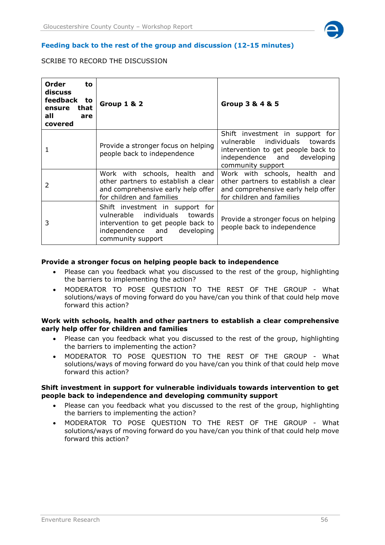

#### **Feeding back to the rest of the group and discussion (12-15 minutes)**

# SCRIBE TO RECORD THE DISCUSSION

| Order<br>to<br>discuss<br>feedback to<br>that<br>ensure<br>all<br>are<br>covered | Group 1 & 2                                                                                                                                                 | Group 3 & 4 & 5                                                                                                                                             |
|----------------------------------------------------------------------------------|-------------------------------------------------------------------------------------------------------------------------------------------------------------|-------------------------------------------------------------------------------------------------------------------------------------------------------------|
|                                                                                  | Provide a stronger focus on helping<br>people back to independence                                                                                          | Shift investment in support for<br>vulnerable individuals towards<br>intervention to get people back to<br>independence and developing<br>community support |
| $\mathcal{P}$                                                                    | Work with schools, health and<br>other partners to establish a clear<br>and comprehensive early help offer<br>for children and families                     | Work with schools, health and<br>other partners to establish a clear<br>and comprehensive early help offer<br>for children and families                     |
| 3                                                                                | Shift investment in support for<br>vulnerable individuals towards<br>intervention to get people back to<br>independence and developing<br>community support | Provide a stronger focus on helping<br>people back to independence                                                                                          |

#### **Provide a stronger focus on helping people back to independence**

- Please can you feedback what you discussed to the rest of the group, highlighting the barriers to implementing the action?
- MODERATOR TO POSE QUESTION TO THE REST OF THE GROUP What solutions/ways of moving forward do you have/can you think of that could help move forward this action?

#### **Work with schools, health and other partners to establish a clear comprehensive early help offer for children and families**

- Please can you feedback what you discussed to the rest of the group, highlighting the barriers to implementing the action?
- MODERATOR TO POSE QUESTION TO THE REST OF THE GROUP What solutions/ways of moving forward do you have/can you think of that could help move forward this action?

#### **Shift investment in support for vulnerable individuals towards intervention to get people back to independence and developing community support**

- Please can you feedback what you discussed to the rest of the group, highlighting the barriers to implementing the action?
- MODERATOR TO POSE QUESTION TO THE REST OF THE GROUP What solutions/ways of moving forward do you have/can you think of that could help move forward this action?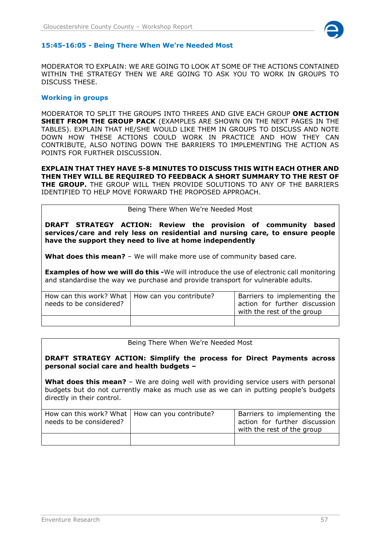

#### **15:45-16:05 - Being There When We're Needed Most**

MODERATOR TO EXPLAIN: WE ARE GOING TO LOOK AT SOME OF THE ACTIONS CONTAINED WITHIN THE STRATEGY THEN WE ARE GOING TO ASK YOU TO WORK IN GROUPS TO DISCUSS THESE.

#### **Working in groups**

MODERATOR TO SPLIT THE GROUPS INTO THREES AND GIVE EACH GROUP **ONE ACTION SHEET FROM THE GROUP PACK** (EXAMPLES ARE SHOWN ON THE NEXT PAGES IN THE TABLES). EXPLAIN THAT HE/SHE WOULD LIKE THEM IN GROUPS TO DISCUSS AND NOTE DOWN HOW THESE ACTIONS COULD WORK IN PRACTICE AND HOW THEY CAN CONTRIBUTE, ALSO NOTING DOWN THE BARRIERS TO IMPLEMENTING THE ACTION AS POINTS FOR FURTHER DISCUSSION.

**EXPLAIN THAT THEY HAVE 5-8 MINUTES TO DISCUSS THIS WITH EACH OTHER AND THEN THEY WILL BE REQUIRED TO FEEDBACK A SHORT SUMMARY TO THE REST OF THE GROUP.** THE GROUP WILL THEN PROVIDE SOLUTIONS TO ANY OF THE BARRIERS IDENTIFIED TO HELP MOVE FORWARD THE PROPOSED APPROACH.

Being There When We're Needed Most

**DRAFT STRATEGY ACTION: Review the provision of community based services/care and rely less on residential and nursing care, to ensure people have the support they need to live at home independently**

**What does this mean?** – We will make more use of community based care.

**Examples of how we will do this -**We will introduce the use of electronic call monitoring and standardise the way we purchase and provide transport for vulnerable adults.

| How can this work? What   How can you contribute?<br>needs to be considered? | Barriers to implementing the<br>action for further discussion<br>with the rest of the group |
|------------------------------------------------------------------------------|---------------------------------------------------------------------------------------------|
|                                                                              |                                                                                             |

Being There When We're Needed Most

**DRAFT STRATEGY ACTION: Simplify the process for Direct Payments across personal social care and health budgets –**

**What does this mean?** – We are doing well with providing service users with personal budgets but do not currently make as much use as we can in putting people's budgets directly in their control.

| How can this work? What   How can you contribute?<br>needs to be considered? | Barriers to implementing the<br>action for further discussion<br>with the rest of the group |
|------------------------------------------------------------------------------|---------------------------------------------------------------------------------------------|
|                                                                              |                                                                                             |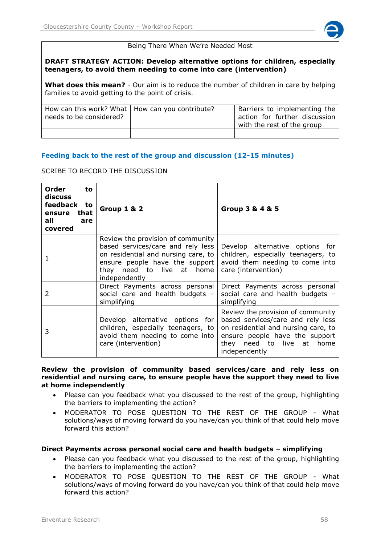

#### Being There When We're Needed Most

**DRAFT STRATEGY ACTION: Develop alternative options for children, especially teenagers, to avoid them needing to come into care (intervention)**

**What does this mean?** - Our aim is to reduce the number of children in care by helping families to avoid getting to the point of crisis.

| How can this work? What   How can you contribute?<br>needs to be considered? | Barriers to implementing the<br>action for further discussion<br>with the rest of the group |
|------------------------------------------------------------------------------|---------------------------------------------------------------------------------------------|
|                                                                              |                                                                                             |

## **Feeding back to the rest of the group and discussion (12-15 minutes)**

SCRIBE TO RECORD THE DISCUSSION

| Order<br>to<br>discuss<br>feedback to<br>that<br>ensure<br>all<br>are<br>covered | Group 1 & 2                                                                                                                                                                                   | Group 3 & 4 & 5                                                                                                                                                                               |
|----------------------------------------------------------------------------------|-----------------------------------------------------------------------------------------------------------------------------------------------------------------------------------------------|-----------------------------------------------------------------------------------------------------------------------------------------------------------------------------------------------|
|                                                                                  | Review the provision of community<br>based services/care and rely less<br>on residential and nursing care, to<br>ensure people have the support<br>they need to live at home<br>independently | Develop alternative options for<br>children, especially teenagers, to<br>avoid them needing to come into<br>care (intervention)                                                               |
| 2                                                                                | Direct Payments across personal<br>social care and health budgets -<br>simplifying                                                                                                            | Direct Payments across personal<br>social care and health budgets -<br>simplifying                                                                                                            |
| 3                                                                                | Develop alternative options for<br>children, especially teenagers, to<br>avoid them needing to come into<br>care (intervention)                                                               | Review the provision of community<br>based services/care and rely less<br>on residential and nursing care, to<br>ensure people have the support<br>they need to live at home<br>independently |

**Review the provision of community based services/care and rely less on residential and nursing care, to ensure people have the support they need to live at home independently**

- Please can you feedback what you discussed to the rest of the group, highlighting the barriers to implementing the action?
- MODERATOR TO POSE QUESTION TO THE REST OF THE GROUP What solutions/ways of moving forward do you have/can you think of that could help move forward this action?

#### **Direct Payments across personal social care and health budgets – simplifying**

- Please can you feedback what you discussed to the rest of the group, highlighting the barriers to implementing the action?
- MODERATOR TO POSE QUESTION TO THE REST OF THE GROUP What solutions/ways of moving forward do you have/can you think of that could help move forward this action?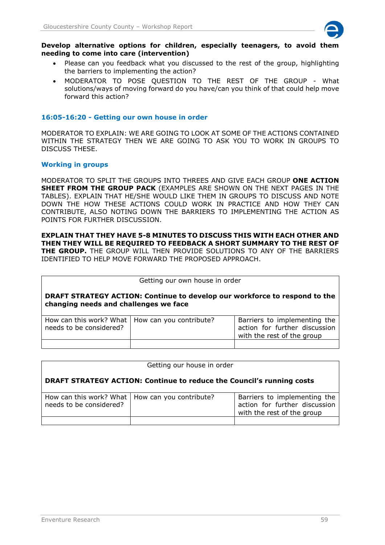

#### **Develop alternative options for children, especially teenagers, to avoid them needing to come into care (intervention)**

- Please can you feedback what you discussed to the rest of the group, highlighting the barriers to implementing the action?
- MODERATOR TO POSE QUESTION TO THE REST OF THE GROUP What solutions/ways of moving forward do you have/can you think of that could help move forward this action?

# **16:05-16:20 - Getting our own house in order**

MODERATOR TO EXPLAIN: WE ARE GOING TO LOOK AT SOME OF THE ACTIONS CONTAINED WITHIN THE STRATEGY THEN WE ARE GOING TO ASK YOU TO WORK IN GROUPS TO DISCUSS THESE.

## **Working in groups**

MODERATOR TO SPLIT THE GROUPS INTO THREES AND GIVE EACH GROUP **ONE ACTION SHEET FROM THE GROUP PACK** (EXAMPLES ARE SHOWN ON THE NEXT PAGES IN THE TABLES). EXPLAIN THAT HE/SHE WOULD LIKE THEM IN GROUPS TO DISCUSS AND NOTE DOWN THE HOW THESE ACTIONS COULD WORK IN PRACTICE AND HOW THEY CAN CONTRIBUTE, ALSO NOTING DOWN THE BARRIERS TO IMPLEMENTING THE ACTION AS POINTS FOR FURTHER DISCUSSION.

# **EXPLAIN THAT THEY HAVE 5-8 MINUTES TO DISCUSS THIS WITH EACH OTHER AND THEN THEY WILL BE REQUIRED TO FEEDBACK A SHORT SUMMARY TO THE REST OF**

**THE GROUP.** THE GROUP WILL THEN PROVIDE SOLUTIONS TO ANY OF THE BARRIERS IDENTIFIED TO HELP MOVE FORWARD THE PROPOSED APPROACH.

| Getting our own house in order                                                                                             |  |                                                                                             |  |
|----------------------------------------------------------------------------------------------------------------------------|--|---------------------------------------------------------------------------------------------|--|
| <b>DRAFT STRATEGY ACTION: Continue to develop our workforce to respond to the</b><br>changing needs and challenges we face |  |                                                                                             |  |
| How can this work? What   How can you contribute?<br>needs to be considered?                                               |  | Barriers to implementing the<br>action for further discussion<br>with the rest of the group |  |
|                                                                                                                            |  |                                                                                             |  |

| Getting our house in order                                                   |                         |                                                                                             |  |
|------------------------------------------------------------------------------|-------------------------|---------------------------------------------------------------------------------------------|--|
| <b>DRAFT STRATEGY ACTION: Continue to reduce the Council's running costs</b> |                         |                                                                                             |  |
| How can this work? What  <br>needs to be considered?                         | How can you contribute? | Barriers to implementing the<br>action for further discussion<br>with the rest of the group |  |
|                                                                              |                         |                                                                                             |  |